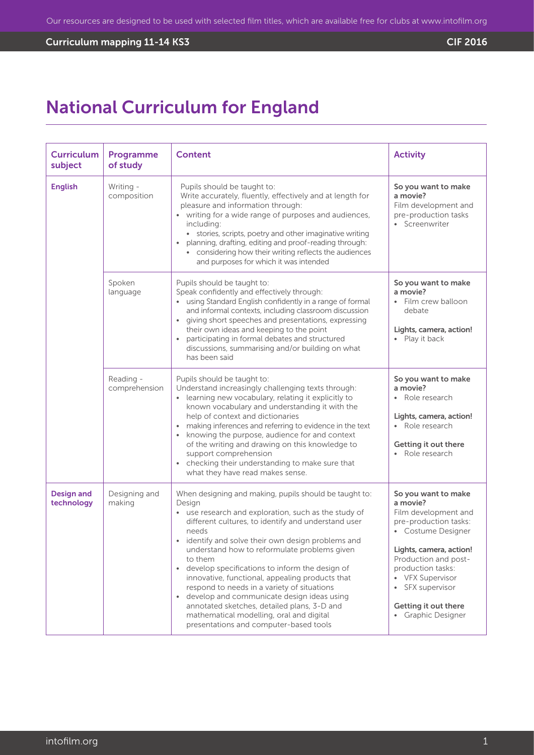# Curriculum mapping 11-14 KS3 CIF 2016

# National Curriculum for England

| <b>Curriculum</b><br>subject    | Programme<br>of study      | <b>Content</b>                                                                                                                                                                                                                                                                                                                                                                                                                                                                                                                                                                                                                                                  | <b>Activity</b>                                                                                                                                                                                                                                                    |
|---------------------------------|----------------------------|-----------------------------------------------------------------------------------------------------------------------------------------------------------------------------------------------------------------------------------------------------------------------------------------------------------------------------------------------------------------------------------------------------------------------------------------------------------------------------------------------------------------------------------------------------------------------------------------------------------------------------------------------------------------|--------------------------------------------------------------------------------------------------------------------------------------------------------------------------------------------------------------------------------------------------------------------|
| <b>English</b>                  | Writing -<br>composition   | Pupils should be taught to:<br>Write accurately, fluently, effectively and at length for<br>pleasure and information through:<br>• writing for a wide range of purposes and audiences,<br>including:<br>• stories, scripts, poetry and other imaginative writing<br>planning, drafting, editing and proof-reading through:<br>considering how their writing reflects the audiences<br>and purposes for which it was intended                                                                                                                                                                                                                                    | So you want to make<br>a movie?<br>Film development and<br>pre-production tasks<br>• Screenwriter                                                                                                                                                                  |
|                                 | Spoken<br>language         | Pupils should be taught to:<br>Speak confidently and effectively through:<br>• using Standard English confidently in a range of formal<br>and informal contexts, including classroom discussion<br>giving short speeches and presentations, expressing<br>$\bullet$<br>their own ideas and keeping to the point<br>participating in formal debates and structured<br>discussions, summarising and/or building on what<br>has been said                                                                                                                                                                                                                          | So you want to make<br>a movie?<br>• Film crew balloon<br>debate<br>Lights, camera, action!<br>• Play it back                                                                                                                                                      |
|                                 | Reading -<br>comprehension | Pupils should be taught to:<br>Understand increasingly challenging texts through:<br>• learning new vocabulary, relating it explicitly to<br>known vocabulary and understanding it with the<br>help of context and dictionaries<br>making inferences and referring to evidence in the text<br>knowing the purpose, audience for and context<br>of the writing and drawing on this knowledge to<br>support comprehension<br>checking their understanding to make sure that<br>what they have read makes sense.                                                                                                                                                   | So you want to make<br>a movie?<br>Role research<br>$\bullet$<br>Lights, camera, action!<br>• Role research<br>Getting it out there<br>Role research                                                                                                               |
| <b>Design and</b><br>technology | Designing and<br>making    | When designing and making, pupils should be taught to:<br>Design<br>• use research and exploration, such as the study of<br>different cultures, to identify and understand user<br>needs<br>• identify and solve their own design problems and<br>understand how to reformulate problems given<br>to them<br>• develop specifications to inform the design of<br>innovative, functional, appealing products that<br>respond to needs in a variety of situations<br>develop and communicate design ideas using<br>$\bullet$<br>annotated sketches, detailed plans, 3-D and<br>mathematical modelling, oral and digital<br>presentations and computer-based tools | So you want to make<br>a movie?<br>Film development and<br>pre-production tasks:<br>• Costume Designer<br>Lights, camera, action!<br>Production and post-<br>production tasks:<br>• VFX Supervisor<br>SFX supervisor<br>Getting it out there<br>• Graphic Designer |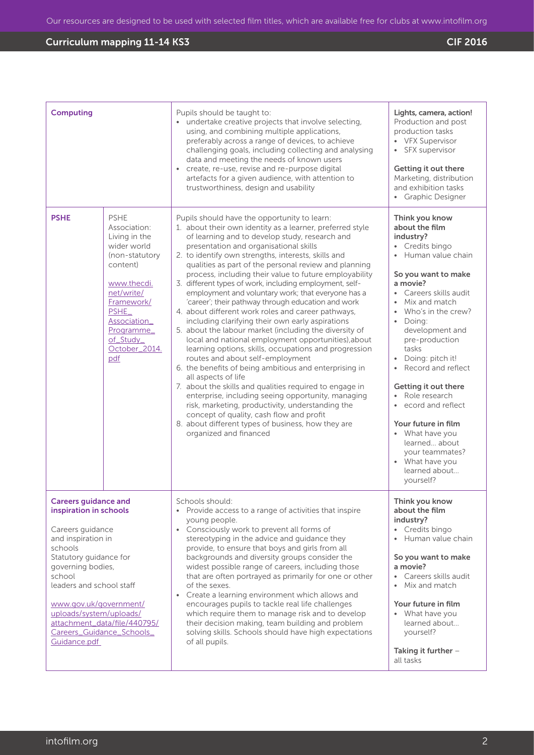| <b>Computing</b>                                                                                                                                                                                                                                                                                                                  |                                                                                                                                                                                                                  | Pupils should be taught to:<br>• undertake creative projects that involve selecting,<br>using, and combining multiple applications,<br>preferably across a range of devices, to achieve<br>challenging goals, including collecting and analysing<br>data and meeting the needs of known users<br>create, re-use, revise and re-purpose digital<br>$\bullet$<br>artefacts for a given audience, with attention to<br>trustworthiness, design and usability                                                                                                                                                                                                                                                                                                                                                                                                                                                                                                                                                                                                                                                                                                                                                                                                        | Lights, camera, action!<br>Production and post<br>production tasks<br>• VFX Supervisor<br>• SFX supervisor<br>Getting it out there<br>Marketing, distribution<br>and exhibition tasks<br>• Graphic Designer                                                                                                                                                                                                                                                                                                                |
|-----------------------------------------------------------------------------------------------------------------------------------------------------------------------------------------------------------------------------------------------------------------------------------------------------------------------------------|------------------------------------------------------------------------------------------------------------------------------------------------------------------------------------------------------------------|------------------------------------------------------------------------------------------------------------------------------------------------------------------------------------------------------------------------------------------------------------------------------------------------------------------------------------------------------------------------------------------------------------------------------------------------------------------------------------------------------------------------------------------------------------------------------------------------------------------------------------------------------------------------------------------------------------------------------------------------------------------------------------------------------------------------------------------------------------------------------------------------------------------------------------------------------------------------------------------------------------------------------------------------------------------------------------------------------------------------------------------------------------------------------------------------------------------------------------------------------------------|----------------------------------------------------------------------------------------------------------------------------------------------------------------------------------------------------------------------------------------------------------------------------------------------------------------------------------------------------------------------------------------------------------------------------------------------------------------------------------------------------------------------------|
| <b>PSHE</b>                                                                                                                                                                                                                                                                                                                       | <b>PSHE</b><br>Association:<br>Living in the<br>wider world<br>(non-statutory<br>content)<br>www.thecdi.<br>net/write/<br>Framework/<br>PSHE_<br>Association_<br>Programme_<br>of_Study_<br>October_2014.<br>pdf | Pupils should have the opportunity to learn:<br>1. about their own identity as a learner, preferred style<br>of learning and to develop study, research and<br>presentation and organisational skills<br>2. to identify own strengths, interests, skills and<br>qualities as part of the personal review and planning<br>process, including their value to future employability<br>3. different types of work, including employment, self-<br>employment and voluntary work; that everyone has a<br>'career'; their pathway through education and work<br>4. about different work roles and career pathways,<br>including clarifying their own early aspirations<br>5. about the labour market (including the diversity of<br>local and national employment opportunities), about<br>learning options, skills, occupations and progression<br>routes and about self-employment<br>6. the benefits of being ambitious and enterprising in<br>all aspects of life<br>7. about the skills and qualities required to engage in<br>enterprise, including seeing opportunity, managing<br>risk, marketing, productivity, understanding the<br>concept of quality, cash flow and profit<br>8. about different types of business, how they are<br>organized and financed | Think you know<br>about the film<br>industry?<br>• Credits bingo<br>Human value chain<br>So you want to make<br>a movie?<br>• Careers skills audit<br>• Mix and match<br>• Who's in the crew?<br>• Doing:<br>development and<br>pre-production<br>tasks<br>• Doing: pitch it!<br>Record and reflect<br>Getting it out there<br>Role research<br>$\bullet$<br>ecord and reflect<br>$\bullet$<br>Your future in film<br>• What have you<br>learned about<br>your teammates?<br>• What have you<br>learned about<br>yourself? |
| <b>Careers guidance and</b><br>inspiration in schools<br>Careers guidance<br>and inspiration in<br>schools<br>Statutory guidance for<br>governing bodies,<br>school<br>leaders and school staff<br>www.gov.uk/government/<br>uploads/system/uploads/<br>attachment_data/file/440795/<br>Careers_Guidance_Schools_<br>Guidance.pdf |                                                                                                                                                                                                                  | Schools should:<br>• Provide access to a range of activities that inspire<br>young people.<br>Consciously work to prevent all forms of<br>$\bullet$<br>stereotyping in the advice and guidance they<br>provide, to ensure that boys and girls from all<br>backgrounds and diversity groups consider the<br>widest possible range of careers, including those<br>that are often portrayed as primarily for one or other<br>of the sexes.<br>Create a learning environment which allows and<br>$\bullet$<br>encourages pupils to tackle real life challenges<br>which require them to manage risk and to develop<br>their decision making, team building and problem<br>solving skills. Schools should have high expectations<br>of all pupils.                                                                                                                                                                                                                                                                                                                                                                                                                                                                                                                    | Think you know<br>about the film<br>industry?<br>• Credits bingo<br>Human value chain<br>$\bullet$<br>So you want to make<br>a movie?<br>Careers skills audit<br>Mix and match<br>Your future in film<br>• What have you<br>learned about<br>yourself?<br>Taking it further $-$<br>all tasks                                                                                                                                                                                                                               |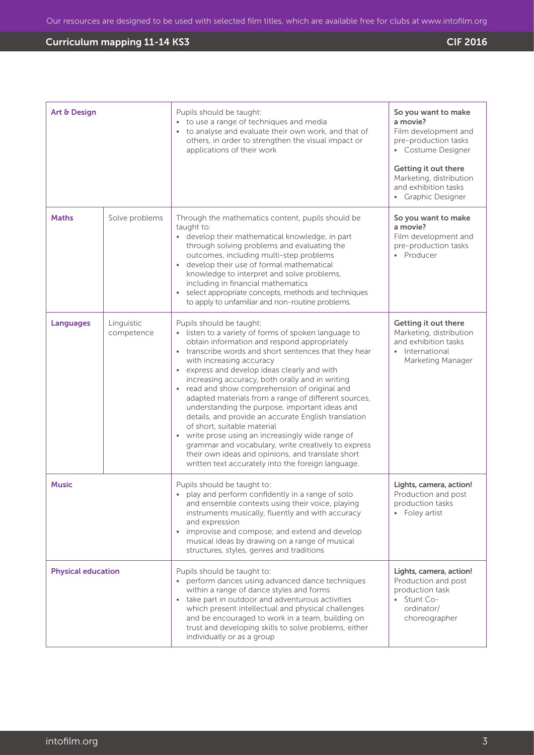| Art & Design              |                          | Pupils should be taught:<br>• to use a range of techniques and media<br>• to analyse and evaluate their own work, and that of<br>others, in order to strengthen the visual impact or<br>applications of their work                                                                                                                                                                                                                                                                                                                                                                                                                                                                                                                                                                              | So you want to make<br>a movie?<br>Film development and<br>pre-production tasks<br>• Costume Designer<br>Getting it out there<br>Marketing, distribution<br>and exhibition tasks<br>• Graphic Designer |
|---------------------------|--------------------------|-------------------------------------------------------------------------------------------------------------------------------------------------------------------------------------------------------------------------------------------------------------------------------------------------------------------------------------------------------------------------------------------------------------------------------------------------------------------------------------------------------------------------------------------------------------------------------------------------------------------------------------------------------------------------------------------------------------------------------------------------------------------------------------------------|--------------------------------------------------------------------------------------------------------------------------------------------------------------------------------------------------------|
| <b>Maths</b>              | Solve problems           | Through the mathematics content, pupils should be<br>taught to:<br>• develop their mathematical knowledge, in part<br>through solving problems and evaluating the<br>outcomes, including multi-step problems<br>develop their use of formal mathematical<br>knowledge to interpret and solve problems,<br>including in financial mathematics<br>select appropriate concepts, methods and techniques<br>to apply to unfamiliar and non-routine problems.                                                                                                                                                                                                                                                                                                                                         | So you want to make<br>a movie?<br>Film development and<br>pre-production tasks<br>• Producer                                                                                                          |
| <b>Languages</b>          | Linguistic<br>competence | Pupils should be taught:<br>• listen to a variety of forms of spoken language to<br>obtain information and respond appropriately<br>transcribe words and short sentences that they hear<br>with increasing accuracy<br>• express and develop ideas clearly and with<br>increasing accuracy, both orally and in writing<br>• read and show comprehension of original and<br>adapted materials from a range of different sources,<br>understanding the purpose, important ideas and<br>details, and provide an accurate English translation<br>of short, suitable material<br>• write prose using an increasingly wide range of<br>grammar and vocabulary, write creatively to express<br>their own ideas and opinions, and translate short<br>written text accurately into the foreign language. | Getting it out there<br>Marketing, distribution<br>and exhibition tasks<br>International<br>Marketing Manager                                                                                          |
| <b>Music</b>              |                          | Pupils should be taught to:<br>play and perform confidently in a range of solo<br>and ensemble contexts using their voice, playing<br>instruments musically, fluently and with accuracy<br>and expression<br>improvise and compose; and extend and develop<br>$\bullet$<br>musical ideas by drawing on a range of musical<br>structures, styles, genres and traditions                                                                                                                                                                                                                                                                                                                                                                                                                          | Lights, camera, action!<br>Production and post<br>production tasks<br>Foley artist                                                                                                                     |
| <b>Physical education</b> |                          | Pupils should be taught to:<br>perform dances using advanced dance techniques<br>within a range of dance styles and forms<br>• take part in outdoor and adventurous activities<br>which present intellectual and physical challenges<br>and be encouraged to work in a team, building on<br>trust and developing skills to solve problems, either<br>individually or as a group                                                                                                                                                                                                                                                                                                                                                                                                                 | Lights, camera, action!<br>Production and post<br>production task<br>• Stunt Co-<br>ordinator/<br>choreographer                                                                                        |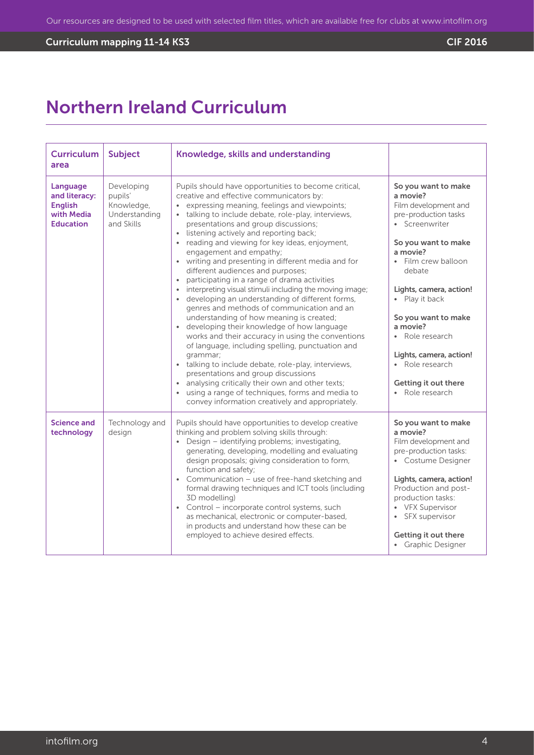# **Curriculum mapping 11-14 KS3** Curriculum mapping 11-14 KS3

# Northern Ireland Curriculum

| <b>Curriculum</b><br>area                                                     | <b>Subject</b>                                                     | Knowledge, skills and understanding                                                                                                                                                                                                                                                                                                                                                                                                                                                                                                                                                                                                                                                                                                                                                                                                                                                                                                                                                                                                                                                                                                                                                |                                                                                                                                                                                                                                                                                                                                                                   |
|-------------------------------------------------------------------------------|--------------------------------------------------------------------|------------------------------------------------------------------------------------------------------------------------------------------------------------------------------------------------------------------------------------------------------------------------------------------------------------------------------------------------------------------------------------------------------------------------------------------------------------------------------------------------------------------------------------------------------------------------------------------------------------------------------------------------------------------------------------------------------------------------------------------------------------------------------------------------------------------------------------------------------------------------------------------------------------------------------------------------------------------------------------------------------------------------------------------------------------------------------------------------------------------------------------------------------------------------------------|-------------------------------------------------------------------------------------------------------------------------------------------------------------------------------------------------------------------------------------------------------------------------------------------------------------------------------------------------------------------|
| Language<br>and literacy:<br><b>English</b><br>with Media<br><b>Education</b> | Developing<br>pupils'<br>Knowledge,<br>Understanding<br>and Skills | Pupils should have opportunities to become critical,<br>creative and effective communicators by:<br>• expressing meaning, feelings and viewpoints;<br>talking to include debate, role-play, interviews,<br>$\bullet$<br>presentations and group discussions;<br>listening actively and reporting back;<br>reading and viewing for key ideas, enjoyment,<br>engagement and empathy;<br>• writing and presenting in different media and for<br>different audiences and purposes;<br>• participating in a range of drama activities<br>interpreting visual stimuli including the moving image;<br>developing an understanding of different forms,<br>genres and methods of communication and an<br>understanding of how meaning is created;<br>developing their knowledge of how language<br>$\bullet$<br>works and their accuracy in using the conventions<br>of language, including spelling, punctuation and<br>grammar;<br>• talking to include debate, role-play, interviews,<br>presentations and group discussions<br>• analysing critically their own and other texts;<br>using a range of techniques, forms and media to<br>convey information creatively and appropriately. | So you want to make<br>a movie?<br>Film development and<br>pre-production tasks<br>• Screenwriter<br>So you want to make<br>a movie?<br>• Film crew balloon<br>debate<br>Lights, camera, action!<br>• Play it back<br>So you want to make<br>a movie?<br>• Role research<br>Lights, camera, action!<br>• Role research<br>Getting it out there<br>• Role research |
| <b>Science and</b><br>technology                                              | Technology and<br>design                                           | Pupils should have opportunities to develop creative<br>thinking and problem solving skills through:<br>• Design - identifying problems; investigating,<br>generating, developing, modelling and evaluating<br>design proposals; giving consideration to form,<br>function and safety;<br>• Communication - use of free-hand sketching and<br>formal drawing techniques and ICT tools (including<br>3D modelling)<br>• Control - incorporate control systems, such<br>as mechanical, electronic or computer-based,<br>in products and understand how these can be<br>employed to achieve desired effects.                                                                                                                                                                                                                                                                                                                                                                                                                                                                                                                                                                          | So you want to make<br>a movie?<br>Film development and<br>pre-production tasks:<br>• Costume Designer<br>Lights, camera, action!<br>Production and post-<br>production tasks:<br>• VFX Supervisor<br>SFX supervisor<br>Getting it out there<br>• Graphic Designer                                                                                                |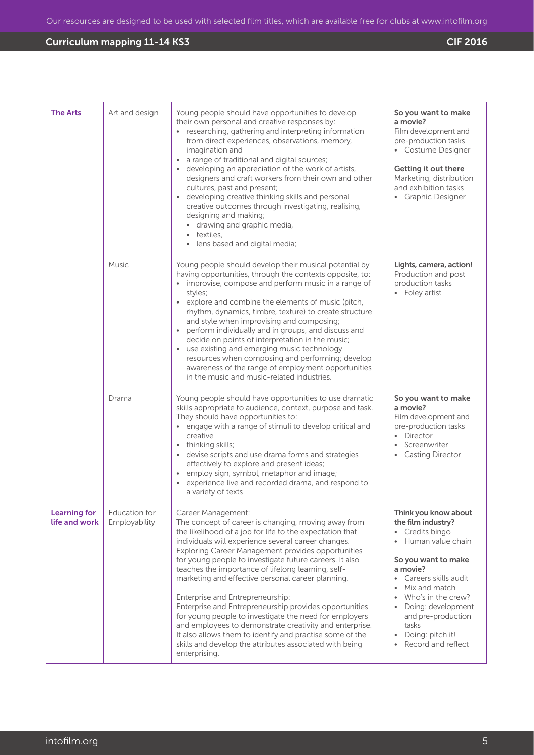| <b>The Arts</b>                      | Art and design                 | Young people should have opportunities to develop<br>their own personal and creative responses by:<br>• researching, gathering and interpreting information<br>from direct experiences, observations, memory,<br>imagination and<br>• a range of traditional and digital sources;<br>• developing an appreciation of the work of artists,<br>designers and craft workers from their own and other<br>cultures, past and present;<br>• developing creative thinking skills and personal<br>creative outcomes through investigating, realising,<br>designing and making;<br>• drawing and graphic media,<br>textiles,<br>lens based and digital media;                                                                                                                                | So you want to make<br>a movie?<br>Film development and<br>pre-production tasks<br>• Costume Designer<br>Getting it out there<br>Marketing, distribution<br>and exhibition tasks<br>• Graphic Designer                                                                                                      |
|--------------------------------------|--------------------------------|-------------------------------------------------------------------------------------------------------------------------------------------------------------------------------------------------------------------------------------------------------------------------------------------------------------------------------------------------------------------------------------------------------------------------------------------------------------------------------------------------------------------------------------------------------------------------------------------------------------------------------------------------------------------------------------------------------------------------------------------------------------------------------------|-------------------------------------------------------------------------------------------------------------------------------------------------------------------------------------------------------------------------------------------------------------------------------------------------------------|
|                                      | Music                          | Young people should develop their musical potential by<br>having opportunities, through the contexts opposite, to:<br>• improvise, compose and perform music in a range of<br>styles;<br>• explore and combine the elements of music (pitch,<br>rhythm, dynamics, timbre, texture) to create structure<br>and style when improvising and composing;<br>perform individually and in groups, and discuss and<br>decide on points of interpretation in the music;<br>• use existing and emerging music technology<br>resources when composing and performing; develop<br>awareness of the range of employment opportunities<br>in the music and music-related industries.                                                                                                              | Lights, camera, action!<br>Production and post<br>production tasks<br>• Foley artist                                                                                                                                                                                                                        |
|                                      | Drama                          | Young people should have opportunities to use dramatic<br>skills appropriate to audience, context, purpose and task.<br>They should have opportunities to:<br>• engage with a range of stimuli to develop critical and<br>creative<br>• thinking skills;<br>• devise scripts and use drama forms and strategies<br>effectively to explore and present ideas;<br>• employ sign, symbol, metaphor and image;<br>• experience live and recorded drama, and respond to<br>a variety of texts                                                                                                                                                                                                                                                                                            | So you want to make<br>a movie?<br>Film development and<br>pre-production tasks<br>Director<br>$\bullet$<br>Screenwriter<br><b>Casting Director</b>                                                                                                                                                         |
| <b>Learning for</b><br>life and work | Education for<br>Employability | Career Management:<br>The concept of career is changing, moving away from<br>the likelihood of a job for life to the expectation that<br>individuals will experience several career changes.<br>Exploring Career Management provides opportunities<br>for young people to investigate future careers. It also<br>teaches the importance of lifelong learning, self-<br>marketing and effective personal career planning.<br>Enterprise and Entrepreneurship:<br>Enterprise and Entrepreneurship provides opportunities<br>for young people to investigate the need for employers<br>and employees to demonstrate creativity and enterprise.<br>It also allows them to identify and practise some of the<br>skills and develop the attributes associated with being<br>enterprising. | Think you know about<br>the film industry?<br>Credits bingo<br>Human value chain<br>So you want to make<br>a movie?<br>Careers skills audit<br>Mix and match<br>$\bullet$<br>Who's in the crew?<br>Doing: development<br>and pre-production<br>tasks<br>Doing: pitch it!<br>$\bullet$<br>Record and reflect |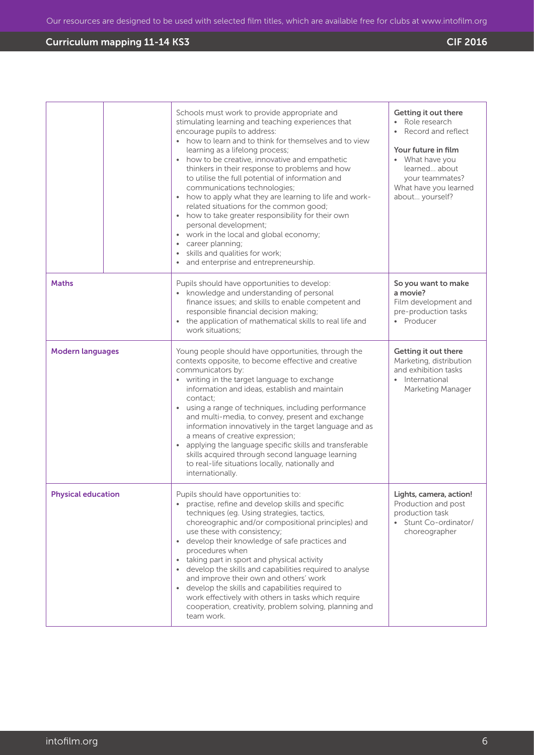|                           | Schools must work to provide appropriate and<br>stimulating learning and teaching experiences that<br>encourage pupils to address:<br>• how to learn and to think for themselves and to view<br>learning as a lifelong process;<br>how to be creative, innovative and empathetic<br>$\bullet$<br>thinkers in their response to problems and how<br>to utilise the full potential of information and<br>communications technologies;<br>how to apply what they are learning to life and work-<br>$\bullet$<br>related situations for the common good;<br>how to take greater responsibility for their own<br>personal development;<br>• work in the local and global economy;<br>career planning;<br>skills and qualities for work;<br>and enterprise and entrepreneurship. | Getting it out there<br>Role research<br>Record and reflect<br>Your future in film<br>• What have you<br>learned about<br>your teammates?<br>What have you learned<br>about yourself? |
|---------------------------|----------------------------------------------------------------------------------------------------------------------------------------------------------------------------------------------------------------------------------------------------------------------------------------------------------------------------------------------------------------------------------------------------------------------------------------------------------------------------------------------------------------------------------------------------------------------------------------------------------------------------------------------------------------------------------------------------------------------------------------------------------------------------|---------------------------------------------------------------------------------------------------------------------------------------------------------------------------------------|
| <b>Maths</b>              | Pupils should have opportunities to develop:<br>• knowledge and understanding of personal<br>finance issues; and skills to enable competent and<br>responsible financial decision making;<br>the application of mathematical skills to real life and<br>$\bullet$<br>work situations;                                                                                                                                                                                                                                                                                                                                                                                                                                                                                      | So you want to make<br>a movie?<br>Film development and<br>pre-production tasks<br>• Producer                                                                                         |
| <b>Modern languages</b>   | Young people should have opportunities, through the<br>contexts opposite, to become effective and creative<br>communicators by:<br>• writing in the target language to exchange<br>information and ideas, establish and maintain<br>contact;<br>using a range of techniques, including performance<br>and multi-media, to convey, present and exchange<br>information innovatively in the target language and as<br>a means of creative expression;<br>applying the language specific skills and transferable<br>$\bullet$<br>skills acquired through second language learning<br>to real-life situations locally, nationally and<br>internationally.                                                                                                                      | Getting it out there<br>Marketing, distribution<br>and exhibition tasks<br>• International<br>Marketing Manager                                                                       |
| <b>Physical education</b> | Pupils should have opportunities to:<br>practise, refine and develop skills and specific<br>techniques (eg. Using strategies, tactics,<br>choreographic and/or compositional principles) and<br>use these with consistency;<br>develop their knowledge of safe practices and<br>$\bullet$<br>procedures when<br>taking part in sport and physical activity<br>develop the skills and capabilities required to analyse<br>and improve their own and others' work<br>• develop the skills and capabilities required to<br>work effectively with others in tasks which require<br>cooperation, creativity, problem solving, planning and<br>team work.                                                                                                                        | Lights, camera, action!<br>Production and post<br>production task<br>Stunt Co-ordinator/<br>choreographer                                                                             |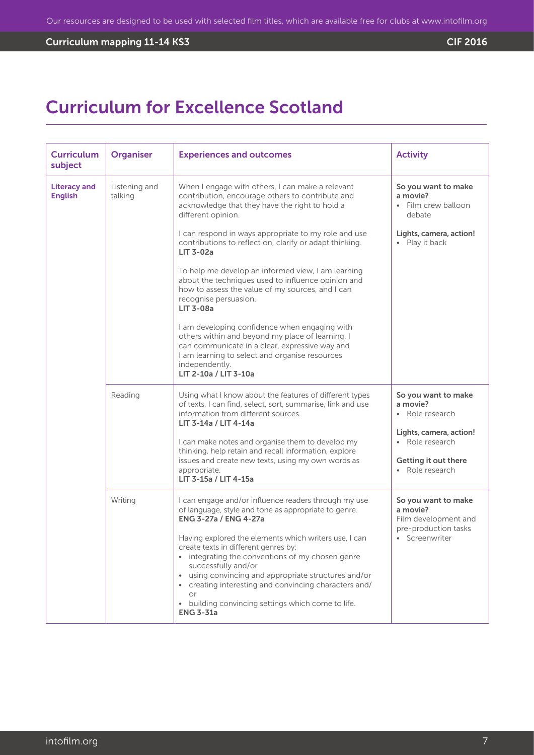# Curriculum mapping 11-14 KS3 CIF 2016

# Curriculum for Excellence Scotland

| <b>Curriculum</b><br>subject          | <b>Organiser</b>         | <b>Experiences and outcomes</b>                                                                                                                                                                                                                                                                                                                                                                                                                                                                                                                                                                                                                                                                                                                                                      | <b>Activity</b>                                                                                                                             |
|---------------------------------------|--------------------------|--------------------------------------------------------------------------------------------------------------------------------------------------------------------------------------------------------------------------------------------------------------------------------------------------------------------------------------------------------------------------------------------------------------------------------------------------------------------------------------------------------------------------------------------------------------------------------------------------------------------------------------------------------------------------------------------------------------------------------------------------------------------------------------|---------------------------------------------------------------------------------------------------------------------------------------------|
| <b>Literacy and</b><br><b>English</b> | Listening and<br>talking | When I engage with others, I can make a relevant<br>contribution, encourage others to contribute and<br>acknowledge that they have the right to hold a<br>different opinion.<br>I can respond in ways appropriate to my role and use<br>contributions to reflect on, clarify or adapt thinking.<br><b>LIT 3-02a</b><br>To help me develop an informed view, I am learning<br>about the techniques used to influence opinion and<br>how to assess the value of my sources, and I can<br>recognise persuasion.<br><b>LIT 3-08a</b><br>I am developing confidence when engaging with<br>others within and beyond my place of learning. I<br>can communicate in a clear, expressive way and<br>I am learning to select and organise resources<br>independently.<br>LIT 2-10a / LIT 3-10a | So you want to make<br>a movie?<br>• Film crew balloon<br>debate<br>Lights, camera, action!<br>• Play it back                               |
|                                       | Reading                  | Using what I know about the features of different types<br>of texts, I can find, select, sort, summarise, link and use<br>information from different sources.<br>LIT 3-14a / LIT 4-14a<br>I can make notes and organise them to develop my<br>thinking, help retain and recall information, explore<br>issues and create new texts, using my own words as<br>appropriate.<br>LIT 3-15a / LIT 4-15a                                                                                                                                                                                                                                                                                                                                                                                   | So you want to make<br>a movie?<br>• Role research<br>Lights, camera, action!<br>• Role research<br>Getting it out there<br>• Role research |
|                                       | Writing                  | I can engage and/or influence readers through my use<br>of language, style and tone as appropriate to genre.<br><b>ENG 3-27a / ENG 4-27a</b><br>Having explored the elements which writers use, I can<br>create texts in different genres by:<br>• integrating the conventions of my chosen genre<br>successfully and/or<br>using convincing and appropriate structures and/or<br>creating interesting and convincing characters and/<br>$\bullet$<br>or<br>building convincing settings which come to life.<br><b>ENG 3-31a</b>                                                                                                                                                                                                                                                     | So you want to make<br>a movie?<br>Film development and<br>pre-production tasks<br>• Screenwriter                                           |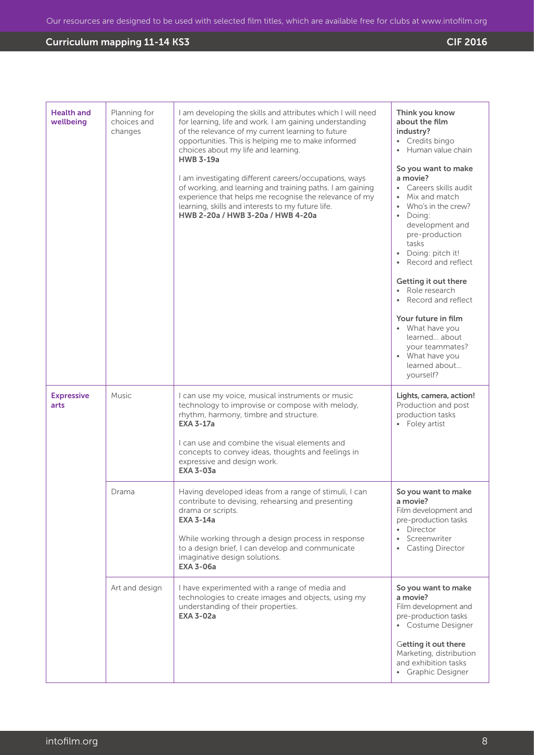| <b>Health and</b><br>wellbeing | Planning for<br>choices and<br>changes | I am developing the skills and attributes which I will need<br>for learning, life and work. I am gaining understanding<br>of the relevance of my current learning to future<br>opportunities. This is helping me to make informed<br>choices about my life and learning.<br><b>HWB 3-19a</b><br>I am investigating different careers/occupations, ways<br>of working, and learning and training paths. I am gaining<br>experience that helps me recognise the relevance of my<br>learning, skills and interests to my future life.<br>HWB 2-20a / HWB 3-20a / HWB 4-20a | Think you know<br>about the film<br>industry?<br>• Credits bingo<br>Human value chain<br>So you want to make<br>a movie?<br>Careers skills audit<br>Mix and match<br>Who's in the crew?<br>$\bullet$<br>• Doina:<br>development and<br>pre-production<br>tasks<br>· Doing: pitch it!<br>Record and reflect<br>Getting it out there<br>• Role research<br>Record and reflect<br>Your future in film<br>• What have you<br>learned about<br>your teammates?<br>• What have you<br>learned about<br>yourself? |
|--------------------------------|----------------------------------------|-------------------------------------------------------------------------------------------------------------------------------------------------------------------------------------------------------------------------------------------------------------------------------------------------------------------------------------------------------------------------------------------------------------------------------------------------------------------------------------------------------------------------------------------------------------------------|------------------------------------------------------------------------------------------------------------------------------------------------------------------------------------------------------------------------------------------------------------------------------------------------------------------------------------------------------------------------------------------------------------------------------------------------------------------------------------------------------------|
| <b>Expressive</b><br>arts      | Music                                  | I can use my voice, musical instruments or music<br>technology to improvise or compose with melody,<br>rhythm, harmony, timbre and structure.<br><b>EXA 3-17a</b><br>I can use and combine the visual elements and<br>concepts to convey ideas, thoughts and feelings in<br>expressive and design work.<br><b>EXA 3-03a</b>                                                                                                                                                                                                                                             | Lights, camera, action!<br>Production and post<br>production tasks<br>Foley artist                                                                                                                                                                                                                                                                                                                                                                                                                         |
|                                | Drama                                  | Having developed ideas from a range of stimuli, I can<br>contribute to devising, rehearsing and presenting<br>drama or scripts.<br><b>EXA 3-14a</b><br>While working through a design process in response<br>to a design brief, I can develop and communicate<br>imaginative design solutions.<br><b>EXA 3-06a</b>                                                                                                                                                                                                                                                      | So you want to make<br>a movie?<br>Film development and<br>pre-production tasks<br>Director<br>Screenwriter<br>$\bullet$<br><b>Casting Director</b>                                                                                                                                                                                                                                                                                                                                                        |
|                                | Art and design                         | I have experimented with a range of media and<br>technologies to create images and objects, using my<br>understanding of their properties.<br><b>EXA 3-02a</b>                                                                                                                                                                                                                                                                                                                                                                                                          | So you want to make<br>a movie?<br>Film development and<br>pre-production tasks<br>• Costume Designer                                                                                                                                                                                                                                                                                                                                                                                                      |
|                                |                                        |                                                                                                                                                                                                                                                                                                                                                                                                                                                                                                                                                                         | Getting it out there<br>Marketing, distribution<br>and exhibition tasks<br>• Graphic Designer                                                                                                                                                                                                                                                                                                                                                                                                              |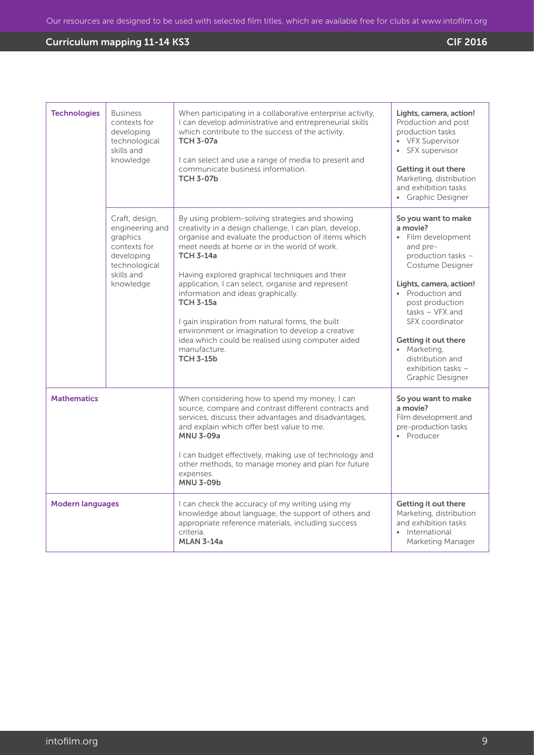| <b>Technologies</b>     | <b>Business</b><br>contexts for<br>developing<br>technological<br>skills and<br>knowledge                               | When participating in a collaborative enterprise activity,<br>I can develop administrative and entrepreneurial skills<br>which contribute to the success of the activity.<br><b>TCH 3-07a</b><br>I can select and use a range of media to present and<br>communicate business information.<br><b>TCH 3-07b</b>                                                                                                                                                                                                                                                                                        | Lights, camera, action!<br>Production and post<br>production tasks<br>• VFX Supervisor<br>• SFX supervisor<br>Getting it out there<br>Marketing, distribution<br>and exhibition tasks<br>• Graphic Designer                                                                                                                 |
|-------------------------|-------------------------------------------------------------------------------------------------------------------------|-------------------------------------------------------------------------------------------------------------------------------------------------------------------------------------------------------------------------------------------------------------------------------------------------------------------------------------------------------------------------------------------------------------------------------------------------------------------------------------------------------------------------------------------------------------------------------------------------------|-----------------------------------------------------------------------------------------------------------------------------------------------------------------------------------------------------------------------------------------------------------------------------------------------------------------------------|
|                         | Craft, design,<br>engineering and<br>graphics<br>contexts for<br>developing<br>technological<br>skills and<br>knowledge | By using problem-solving strategies and showing<br>creativity in a design challenge, I can plan, develop,<br>organise and evaluate the production of items which<br>meet needs at home or in the world of work.<br><b>TCH 3-14a</b><br>Having explored graphical techniques and their<br>application, I can select, organise and represent<br>information and ideas graphically.<br><b>TCH 3-15a</b><br>I gain inspiration from natural forms, the built<br>environment or imagination to develop a creative<br>idea which could be realised using computer aided<br>manufacture.<br><b>TCH 3-15b</b> | So you want to make<br>a movie?<br>Film development<br>and pre-<br>production tasks -<br>Costume Designer<br>Lights, camera, action!<br>• Production and<br>post production<br>$tasks - VFX$ and<br>SFX coordinator<br>Getting it out there<br>• Marketing,<br>distribution and<br>exhibition tasks $-$<br>Graphic Designer |
| <b>Mathematics</b>      |                                                                                                                         | When considering how to spend my money, I can<br>source, compare and contrast different contracts and<br>services, discuss their advantages and disadvantages,<br>and explain which offer best value to me.<br><b>MNU 3-09a</b><br>I can budget effectively, making use of technology and<br>other methods, to manage money and plan for future<br>expenses.<br><b>MNU 3-09b</b>                                                                                                                                                                                                                      | So you want to make<br>a movie?<br>Film development and<br>pre-production tasks<br>• Producer                                                                                                                                                                                                                               |
| <b>Modern languages</b> |                                                                                                                         | I can check the accuracy of my writing using my<br>knowledge about language, the support of others and<br>appropriate reference materials, including success<br>criteria.<br><b>MLAN 3-14a</b>                                                                                                                                                                                                                                                                                                                                                                                                        | Getting it out there<br>Marketing, distribution<br>and exhibition tasks<br>• International<br>Marketing Manager                                                                                                                                                                                                             |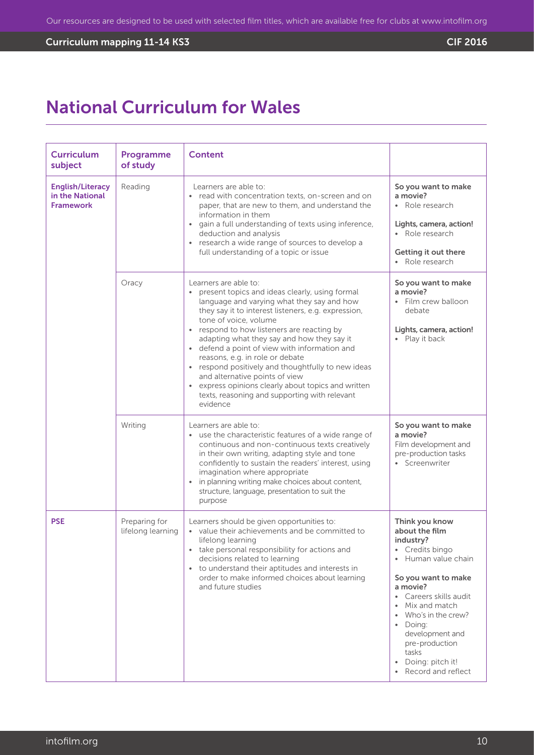# Curriculum mapping 11-14 KS3 CIF 2016

# National Curriculum for Wales

| <b>Curriculum</b><br>subject                                   | Programme<br>of study              | <b>Content</b>                                                                                                                                                                                                                                                                                                                                                                                                                                                                                                                                                                                  |                                                                                                                                                                                                                                                                                           |
|----------------------------------------------------------------|------------------------------------|-------------------------------------------------------------------------------------------------------------------------------------------------------------------------------------------------------------------------------------------------------------------------------------------------------------------------------------------------------------------------------------------------------------------------------------------------------------------------------------------------------------------------------------------------------------------------------------------------|-------------------------------------------------------------------------------------------------------------------------------------------------------------------------------------------------------------------------------------------------------------------------------------------|
| <b>English/Literacy</b><br>in the National<br><b>Framework</b> | Reading                            | Learners are able to:<br>• read with concentration texts, on-screen and on<br>paper, that are new to them, and understand the<br>information in them<br>gain a full understanding of texts using inference,<br>deduction and analysis<br>• research a wide range of sources to develop a<br>full understanding of a topic or issue                                                                                                                                                                                                                                                              | So you want to make<br>a movie?<br>Role research<br>Lights, camera, action!<br>• Role research<br>Getting it out there<br>• Role research                                                                                                                                                 |
|                                                                | Oracy                              | Learners are able to:<br>present topics and ideas clearly, using formal<br>language and varying what they say and how<br>they say it to interest listeners, e.g. expression,<br>tone of voice, volume<br>• respond to how listeners are reacting by<br>adapting what they say and how they say it<br>• defend a point of view with information and<br>reasons, e.g. in role or debate<br>• respond positively and thoughtfully to new ideas<br>and alternative points of view<br>express opinions clearly about topics and written<br>texts, reasoning and supporting with relevant<br>evidence | So you want to make<br>a movie?<br>• Film crew balloon<br>debate<br>Lights, camera, action!<br>• Play it back                                                                                                                                                                             |
|                                                                | Writing                            | Learners are able to:<br>• use the characteristic features of a wide range of<br>continuous and non-continuous texts creatively<br>in their own writing, adapting style and tone<br>confidently to sustain the readers' interest, using<br>imagination where appropriate<br>in planning writing make choices about content,<br>structure, language, presentation to suit the<br>purpose                                                                                                                                                                                                         | So you want to make<br>a movie?<br>Film development and<br>pre-production tasks<br>• Screenwriter                                                                                                                                                                                         |
| <b>PSE</b>                                                     | Preparing for<br>lifelong learning | Learners should be given opportunities to:<br>• value their achievements and be committed to<br>lifelong learning<br>• take personal responsibility for actions and<br>decisions related to learning<br>• to understand their aptitudes and interests in<br>order to make informed choices about learning<br>and future studies                                                                                                                                                                                                                                                                 | Think you know<br>about the film<br>industry?<br>Credits bingo<br>Human value chain<br>So you want to make<br>a movie?<br>• Careers skills audit<br>Mix and match<br>Who's in the crew?<br>Doing:<br>development and<br>pre-production<br>tasks<br>Doing: pitch it!<br>Record and reflect |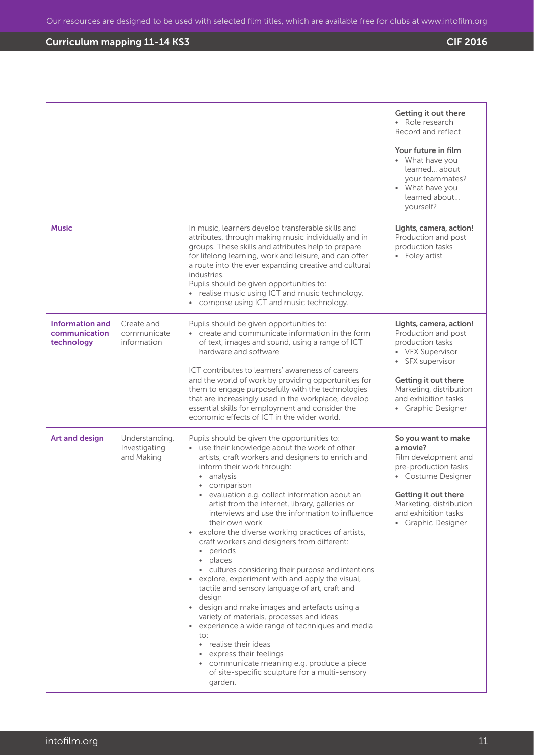|                                                       |                                               |                                                                                                                                                                                                                                                                                                                                                                                                                                                                                                                                                                                                                                                                                                                                                                                                                                                                                                                                                                                                                                                       | Getting it out there<br>• Role research<br>Record and reflect<br>Your future in film<br>• What have you<br>learned about<br>your teammates?<br>• What have you<br>learned about<br>yourself?                           |
|-------------------------------------------------------|-----------------------------------------------|-------------------------------------------------------------------------------------------------------------------------------------------------------------------------------------------------------------------------------------------------------------------------------------------------------------------------------------------------------------------------------------------------------------------------------------------------------------------------------------------------------------------------------------------------------------------------------------------------------------------------------------------------------------------------------------------------------------------------------------------------------------------------------------------------------------------------------------------------------------------------------------------------------------------------------------------------------------------------------------------------------------------------------------------------------|------------------------------------------------------------------------------------------------------------------------------------------------------------------------------------------------------------------------|
| <b>Music</b>                                          |                                               | In music, learners develop transferable skills and<br>attributes, through making music individually and in<br>groups. These skills and attributes help to prepare<br>for lifelong learning, work and leisure, and can offer<br>a route into the ever expanding creative and cultural<br>industries.<br>Pupils should be given opportunities to:<br>• realise music using ICT and music technology.<br>compose using ICT and music technology.                                                                                                                                                                                                                                                                                                                                                                                                                                                                                                                                                                                                         | Lights, camera, action!<br>Production and post<br>production tasks<br>• Foley artist                                                                                                                                   |
| <b>Information and</b><br>communication<br>technology | Create and<br>communicate<br>information      | Pupils should be given opportunities to:<br>• create and communicate information in the form<br>of text, images and sound, using a range of ICT<br>hardware and software<br>ICT contributes to learners' awareness of careers<br>and the world of work by providing opportunities for<br>them to engage purposefully with the technologies<br>that are increasingly used in the workplace, develop<br>essential skills for employment and consider the<br>economic effects of ICT in the wider world.                                                                                                                                                                                                                                                                                                                                                                                                                                                                                                                                                 | Lights, camera, action!<br>Production and post<br>production tasks<br>• VFX Supervisor<br>SFX supervisor<br>$\bullet$<br>Getting it out there<br>Marketing, distribution<br>and exhibition tasks<br>• Graphic Designer |
| Art and design                                        | Understanding,<br>Investigating<br>and Making | Pupils should be given the opportunities to:<br>use their knowledge about the work of other<br>artists, craft workers and designers to enrich and<br>inform their work through:<br>analysis<br>$\bullet$<br>comparison<br>· evaluation e.g. collect information about an<br>artist from the internet, library, galleries or<br>interviews and use the information to influence<br>their own work<br>• explore the diverse working practices of artists,<br>craft workers and designers from different:<br>periods<br>places<br>$\bullet$<br>• cultures considering their purpose and intentions<br>• explore, experiment with and apply the visual,<br>tactile and sensory language of art, craft and<br>design<br>• design and make images and artefacts using a<br>variety of materials, processes and ideas<br>• experience a wide range of techniques and media<br>to:<br>• realise their ideas<br>• express their feelings<br>communicate meaning e.g. produce a piece<br>$\bullet$<br>of site-specific sculpture for a multi-sensory<br>garden. | So you want to make<br>a movie?<br>Film development and<br>pre-production tasks<br>• Costume Designer<br>Getting it out there<br>Marketing, distribution<br>and exhibition tasks<br>• Graphic Designer                 |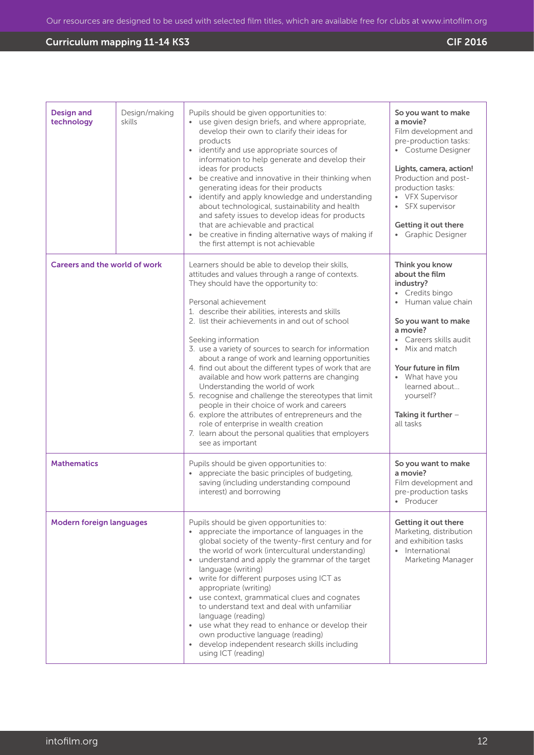| <b>Design and</b><br>technology      | Design/making<br>skills | Pupils should be given opportunities to:<br>• use given design briefs, and where appropriate,<br>develop their own to clarify their ideas for<br>products<br>identify and use appropriate sources of<br>$\bullet$<br>information to help generate and develop their<br>ideas for products<br>be creative and innovative in their thinking when<br>$\bullet$<br>generating ideas for their products<br>identify and apply knowledge and understanding<br>about technological, sustainability and health<br>and safety issues to develop ideas for products<br>that are achievable and practical<br>be creative in finding alternative ways of making if<br>the first attempt is not achievable                                                                                                                                                    | So you want to make<br>a movie?<br>Film development and<br>pre-production tasks:<br>• Costume Designer<br>Lights, camera, action!<br>Production and post-<br>production tasks:<br>• VFX Supervisor<br>SFX supervisor<br>Getting it out there<br>• Graphic Designer              |
|--------------------------------------|-------------------------|--------------------------------------------------------------------------------------------------------------------------------------------------------------------------------------------------------------------------------------------------------------------------------------------------------------------------------------------------------------------------------------------------------------------------------------------------------------------------------------------------------------------------------------------------------------------------------------------------------------------------------------------------------------------------------------------------------------------------------------------------------------------------------------------------------------------------------------------------|---------------------------------------------------------------------------------------------------------------------------------------------------------------------------------------------------------------------------------------------------------------------------------|
| <b>Careers and the world of work</b> |                         | Learners should be able to develop their skills,<br>attitudes and values through a range of contexts.<br>They should have the opportunity to:<br>Personal achievement<br>1. describe their abilities, interests and skills<br>2. list their achievements in and out of school<br>Seeking information<br>3. use a variety of sources to search for information<br>about a range of work and learning opportunities<br>4. find out about the different types of work that are<br>available and how work patterns are changing<br>Understanding the world of work<br>5. recognise and challenge the stereotypes that limit<br>people in their choice of work and careers<br>6. explore the attributes of entrepreneurs and the<br>role of enterprise in wealth creation<br>7. learn about the personal qualities that employers<br>see as important | Think you know<br>about the film<br>industry?<br>• Credits bingo<br>• Human value chain<br>So you want to make<br>a movie?<br>Careers skills audit<br>Mix and match<br>Your future in film<br>• What have you<br>learned about<br>yourself?<br>Taking it further -<br>all tasks |
| <b>Mathematics</b>                   |                         | Pupils should be given opportunities to:<br>appreciate the basic principles of budgeting,<br>saving (including understanding compound<br>interest) and borrowing                                                                                                                                                                                                                                                                                                                                                                                                                                                                                                                                                                                                                                                                                 | So you want to make<br>a movie?<br>Film development and<br>pre-production tasks<br>• Producer                                                                                                                                                                                   |
| <b>Modern foreign languages</b>      |                         | Pupils should be given opportunities to:<br>• appreciate the importance of languages in the<br>global society of the twenty-first century and for<br>the world of work (intercultural understanding)<br>understand and apply the grammar of the target<br>$\bullet$<br>language (writing)<br>write for different purposes using ICT as<br>٠<br>appropriate (writing)<br>use context, grammatical clues and cognates<br>$\bullet$<br>to understand text and deal with unfamiliar<br>language (reading)<br>use what they read to enhance or develop their<br>$\bullet$<br>own productive language (reading)<br>• develop independent research skills including<br>using ICT (reading)                                                                                                                                                              | Getting it out there<br>Marketing, distribution<br>and exhibition tasks<br>• International<br>Marketing Manager                                                                                                                                                                 |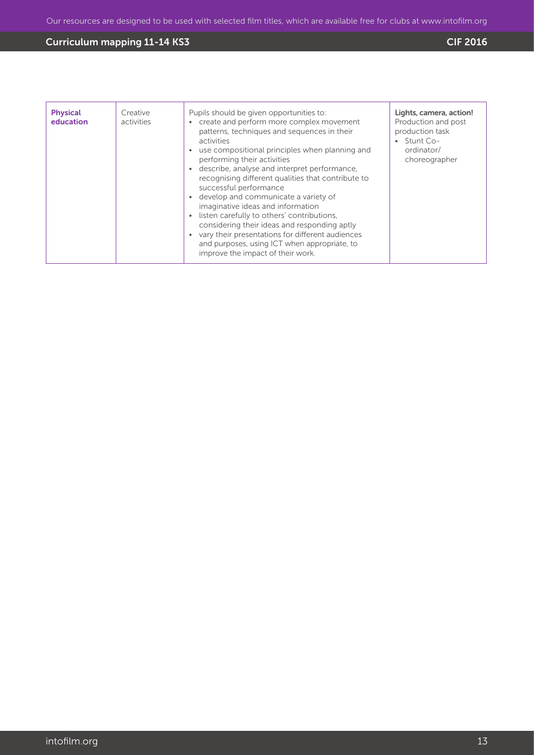| <b>Physical</b><br>education | Creative<br>activities | Pupils should be given opportunities to:<br>create and perform more complex movement<br>$\bullet$<br>patterns, techniques and sequences in their<br>activities<br>use compositional principles when planning and<br>performing their activities<br>describe, analyse and interpret performance,<br>$\bullet$<br>recognising different qualities that contribute to<br>successful performance<br>develop and communicate a variety of<br>$\bullet$<br>imaginative ideas and information<br>listen carefully to others' contributions,<br>considering their ideas and responding aptly<br>vary their presentations for different audiences<br>and purposes, using ICT when appropriate, to<br>improve the impact of their work. | Lights, camera, action!<br>Production and post<br>production task<br>Stunt Co-<br>ordinator/<br>choreographer |
|------------------------------|------------------------|-------------------------------------------------------------------------------------------------------------------------------------------------------------------------------------------------------------------------------------------------------------------------------------------------------------------------------------------------------------------------------------------------------------------------------------------------------------------------------------------------------------------------------------------------------------------------------------------------------------------------------------------------------------------------------------------------------------------------------|---------------------------------------------------------------------------------------------------------------|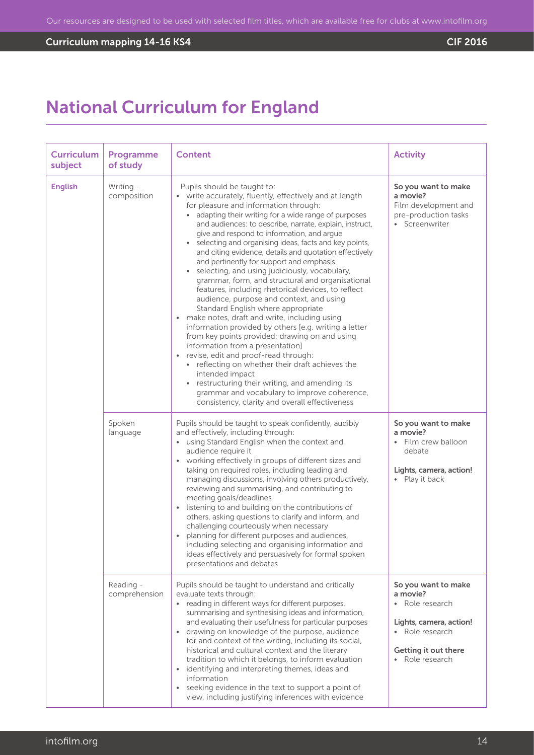# **Curriculum mapping 14-16 KS4** Curriculum mapping 14-16 KS4

# National Curriculum for England

| <b>Curriculum</b><br>subject | Programme<br>of study      | <b>Content</b>                                                                                                                                                                                                                                                                                                                                                                                                                                                                                                                                                                                                                                                                                                                                                                                                                                                                                                                                                                                                                                                                                                                                                                     | <b>Activity</b>                                                                                                                           |
|------------------------------|----------------------------|------------------------------------------------------------------------------------------------------------------------------------------------------------------------------------------------------------------------------------------------------------------------------------------------------------------------------------------------------------------------------------------------------------------------------------------------------------------------------------------------------------------------------------------------------------------------------------------------------------------------------------------------------------------------------------------------------------------------------------------------------------------------------------------------------------------------------------------------------------------------------------------------------------------------------------------------------------------------------------------------------------------------------------------------------------------------------------------------------------------------------------------------------------------------------------|-------------------------------------------------------------------------------------------------------------------------------------------|
| <b>English</b>               | Writing -<br>composition   | Pupils should be taught to:<br>• write accurately, fluently, effectively and at length<br>for pleasure and information through:<br>• adapting their writing for a wide range of purposes<br>and audiences: to describe, narrate, explain, instruct,<br>give and respond to information, and argue<br>selecting and organising ideas, facts and key points,<br>and citing evidence, details and quotation effectively<br>and pertinently for support and emphasis<br>• selecting, and using judiciously, vocabulary,<br>grammar, form, and structural and organisational<br>features, including rhetorical devices, to reflect<br>audience, purpose and context, and using<br>Standard English where appropriate<br>• make notes, draft and write, including using<br>information provided by others [e.g. writing a letter<br>from key points provided; drawing on and using<br>information from a presentation]<br>revise, edit and proof-read through:<br>• reflecting on whether their draft achieves the<br>intended impact<br>restructuring their writing, and amending its<br>grammar and vocabulary to improve coherence,<br>consistency, clarity and overall effectiveness | So you want to make<br>a movie?<br>Film development and<br>pre-production tasks<br>• Screenwriter                                         |
|                              | Spoken<br>language         | Pupils should be taught to speak confidently, audibly<br>and effectively, including through:<br>• using Standard English when the context and<br>audience require it<br>• working effectively in groups of different sizes and<br>taking on required roles, including leading and<br>managing discussions, involving others productively,<br>reviewing and summarising, and contributing to<br>meeting goals/deadlines<br>listening to and building on the contributions of<br>$\bullet$<br>others, asking questions to clarify and inform, and<br>challenging courteously when necessary<br>planning for different purposes and audiences,<br>including selecting and organising information and<br>ideas effectively and persuasively for formal spoken<br>presentations and debates                                                                                                                                                                                                                                                                                                                                                                                             | So you want to make<br>a movie?<br>Film crew balloon<br>$\bullet$<br>debate<br>Lights, camera, action!<br>• Play it back                  |
|                              | Reading -<br>comprehension | Pupils should be taught to understand and critically<br>evaluate texts through:<br>• reading in different ways for different purposes,<br>summarising and synthesising ideas and information,<br>and evaluating their usefulness for particular purposes<br>• drawing on knowledge of the purpose, audience<br>for and context of the writing, including its social,<br>historical and cultural context and the literary<br>tradition to which it belongs, to inform evaluation<br>• identifying and interpreting themes, ideas and<br>information<br>• seeking evidence in the text to support a point of<br>view, including justifying inferences with evidence                                                                                                                                                                                                                                                                                                                                                                                                                                                                                                                  | So you want to make<br>a movie?<br>Role research<br>Lights, camera, action!<br>• Role research<br>Getting it out there<br>• Role research |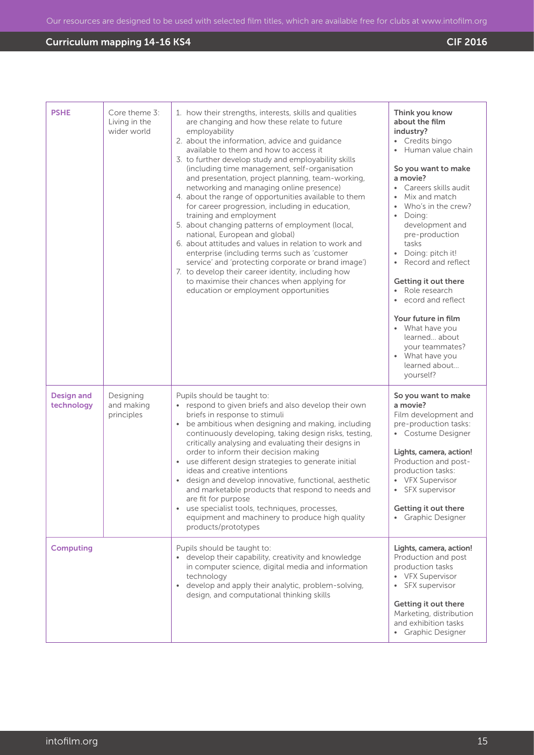# Curriculum mapping 14-16 KS4

| <b>PSHE</b>                     | Core theme 3:<br>Living in the<br>wider world | 1. how their strengths, interests, skills and qualities<br>are changing and how these relate to future<br>employability<br>2. about the information, advice and guidance<br>available to them and how to access it<br>3. to further develop study and employability skills<br>(including time management, self-organisation<br>and presentation, project planning, team-working,<br>networking and managing online presence)<br>4. about the range of opportunities available to them<br>for career progression, including in education,<br>training and employment<br>5. about changing patterns of employment (local,<br>national, European and global)<br>6. about attitudes and values in relation to work and<br>enterprise (including terms such as 'customer<br>service' and 'protecting corporate or brand image')<br>7. to develop their career identity, including how<br>to maximise their chances when applying for<br>education or employment opportunities | Think you know<br>about the film<br>industry?<br>Credits bingo<br>$\bullet$<br>Human value chain<br>So you want to make<br>a movie?<br>Careers skills audit<br>Mix and match<br>$\bullet$<br>Who's in the crew?<br>Doing:<br>$\bullet$<br>development and<br>pre-production<br>tasks<br>Doing: pitch it!<br>Record and reflect<br>Getting it out there<br>Role research<br>ecord and reflect<br>$\bullet$<br>Your future in film<br>• What have you<br>learned about<br>your teammates?<br>• What have you<br>learned about<br>yourself? |
|---------------------------------|-----------------------------------------------|--------------------------------------------------------------------------------------------------------------------------------------------------------------------------------------------------------------------------------------------------------------------------------------------------------------------------------------------------------------------------------------------------------------------------------------------------------------------------------------------------------------------------------------------------------------------------------------------------------------------------------------------------------------------------------------------------------------------------------------------------------------------------------------------------------------------------------------------------------------------------------------------------------------------------------------------------------------------------|------------------------------------------------------------------------------------------------------------------------------------------------------------------------------------------------------------------------------------------------------------------------------------------------------------------------------------------------------------------------------------------------------------------------------------------------------------------------------------------------------------------------------------------|
| <b>Design and</b><br>technology | Designing<br>and making<br>principles         | Pupils should be taught to:<br>• respond to given briefs and also develop their own<br>briefs in response to stimuli<br>be ambitious when designing and making, including<br>continuously developing, taking design risks, testing,<br>critically analysing and evaluating their designs in<br>order to inform their decision making<br>• use different design strategies to generate initial<br>ideas and creative intentions<br>design and develop innovative, functional, aesthetic<br>and marketable products that respond to needs and<br>are fit for purpose<br>• use specialist tools, techniques, processes,<br>equipment and machinery to produce high quality<br>products/prototypes                                                                                                                                                                                                                                                                           | So you want to make<br>a movie?<br>Film development and<br>pre-production tasks:<br>• Costume Designer<br>Lights, camera, action!<br>Production and post-<br>production tasks:<br>• VFX Supervisor<br>SFX supervisor<br>Getting it out there<br>Graphic Designer<br>$\bullet$                                                                                                                                                                                                                                                            |
| <b>Computing</b>                |                                               | Pupils should be taught to:<br>• develop their capability, creativity and knowledge<br>in computer science, digital media and information<br>technology<br>develop and apply their analytic, problem-solving,<br>$\bullet$<br>design, and computational thinking skills                                                                                                                                                                                                                                                                                                                                                                                                                                                                                                                                                                                                                                                                                                  | Lights, camera, action!<br>Production and post<br>production tasks<br>• VFX Supervisor<br>SFX supervisor<br>۰<br>Getting it out there<br>Marketing, distribution<br>and exhibition tasks<br>• Graphic Designer                                                                                                                                                                                                                                                                                                                           |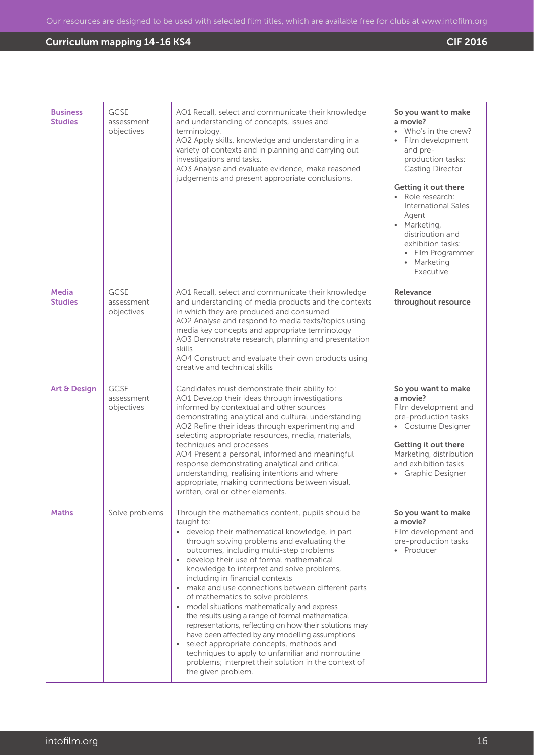| <b>Business</b><br><b>Studies</b> | GCSE<br>assessment<br>objectives        | AO1 Recall, select and communicate their knowledge<br>and understanding of concepts, issues and<br>terminology.<br>AO2 Apply skills, knowledge and understanding in a<br>variety of contexts and in planning and carrying out<br>investigations and tasks.<br>AO3 Analyse and evaluate evidence, make reasoned<br>judgements and present appropriate conclusions.                                                                                                                                                                                                                                                                                                                                                                                                                                                                       | So you want to make<br>a movie?<br>• Who's in the crew?<br>Film development<br>and pre-<br>production tasks:<br>Casting Director<br>Getting it out there<br>• Role research:<br>International Sales<br>Agent<br>• Marketing,<br>distribution and<br>exhibition tasks:<br>Film Programmer<br>• Marketing<br>Executive |
|-----------------------------------|-----------------------------------------|-----------------------------------------------------------------------------------------------------------------------------------------------------------------------------------------------------------------------------------------------------------------------------------------------------------------------------------------------------------------------------------------------------------------------------------------------------------------------------------------------------------------------------------------------------------------------------------------------------------------------------------------------------------------------------------------------------------------------------------------------------------------------------------------------------------------------------------------|----------------------------------------------------------------------------------------------------------------------------------------------------------------------------------------------------------------------------------------------------------------------------------------------------------------------|
| <b>Media</b><br><b>Studies</b>    | <b>GCSE</b><br>assessment<br>objectives | AO1 Recall, select and communicate their knowledge<br>and understanding of media products and the contexts<br>in which they are produced and consumed<br>AO2 Analyse and respond to media texts/topics using<br>media key concepts and appropriate terminology<br>AO3 Demonstrate research, planning and presentation<br>skills<br>AO4 Construct and evaluate their own products using<br>creative and technical skills                                                                                                                                                                                                                                                                                                                                                                                                                 | Relevance<br>throughout resource                                                                                                                                                                                                                                                                                     |
| Art & Design                      | GCSE<br>assessment<br>objectives        | Candidates must demonstrate their ability to:<br>AO1 Develop their ideas through investigations<br>informed by contextual and other sources<br>demonstrating analytical and cultural understanding<br>AO2 Refine their ideas through experimenting and<br>selecting appropriate resources, media, materials,<br>techniques and processes<br>AO4 Present a personal, informed and meaningful<br>response demonstrating analytical and critical<br>understanding, realising intentions and where<br>appropriate, making connections between visual,<br>written, oral or other elements.                                                                                                                                                                                                                                                   | So you want to make<br>a movie?<br>Film development and<br>pre-production tasks<br>• Costume Designer<br>Getting it out there<br>Marketing, distribution<br>and exhibition tasks<br>• Graphic Designer                                                                                                               |
| <b>Maths</b>                      | Solve problems                          | Through the mathematics content, pupils should be<br>taught to:<br>• develop their mathematical knowledge, in part<br>through solving problems and evaluating the<br>outcomes, including multi-step problems<br>• develop their use of formal mathematical<br>knowledge to interpret and solve problems,<br>including in financial contexts<br>• make and use connections between different parts<br>of mathematics to solve problems<br>• model situations mathematically and express<br>the results using a range of formal mathematical<br>representations, reflecting on how their solutions may<br>have been affected by any modelling assumptions<br>• select appropriate concepts, methods and<br>techniques to apply to unfamiliar and nonroutine<br>problems; interpret their solution in the context of<br>the given problem. | So you want to make<br>a movie?<br>Film development and<br>pre-production tasks<br>• Producer                                                                                                                                                                                                                        |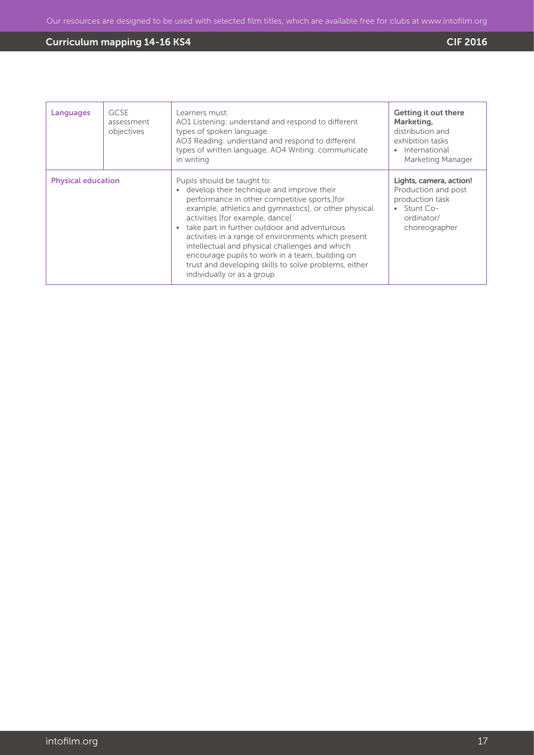| Languages                 | <b>GCSE</b><br>assessment<br>objectives | Learners must:<br>AO1 Listening: understand and respond to different<br>types of spoken language.<br>AO3 Reading: understand and respond to different<br>types of written language. AO4 Writing: communicate<br>in writing                                                                                                                                                                                                                                                                                               | Getting it out there<br>Marketing,<br>distribution and<br>exhibition tasks<br>International<br>Marketing Manager |
|---------------------------|-----------------------------------------|--------------------------------------------------------------------------------------------------------------------------------------------------------------------------------------------------------------------------------------------------------------------------------------------------------------------------------------------------------------------------------------------------------------------------------------------------------------------------------------------------------------------------|------------------------------------------------------------------------------------------------------------------|
| <b>Physical education</b> |                                         | Pupils should be taught to:<br>develop their technique and improve their<br>performance in other competitive sports, [for<br>example, athletics and gymnastics], or other physical<br>activities [for example, dance]<br>take part in further outdoor and adventurous<br>activities in a range of environments which present<br>intellectual and physical challenges and which<br>encourage pupils to work in a team, building on<br>trust and developing skills to solve problems, either<br>individually or as a group | Lights, camera, action!<br>Production and post<br>production task<br>Stunt Co-<br>ordinator/<br>choreographer    |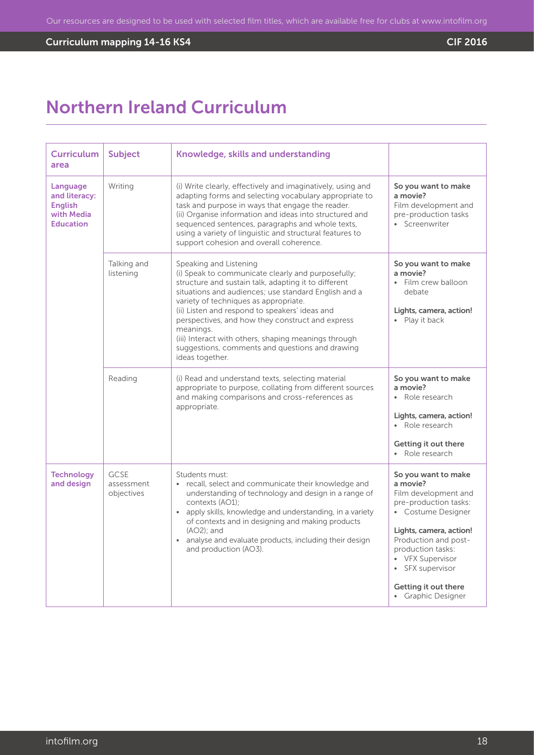# **Curriculum mapping 14-16 KS4** Curriculum mapping 14-16 KS4

# Northern Ireland Curriculum

| <b>Curriculum</b><br>area                                                     | Subject                          | Knowledge, skills and understanding                                                                                                                                                                                                                                                                                                                                                                                                                                                    |                                                                                                                                                                                                                                                                      |
|-------------------------------------------------------------------------------|----------------------------------|----------------------------------------------------------------------------------------------------------------------------------------------------------------------------------------------------------------------------------------------------------------------------------------------------------------------------------------------------------------------------------------------------------------------------------------------------------------------------------------|----------------------------------------------------------------------------------------------------------------------------------------------------------------------------------------------------------------------------------------------------------------------|
| Language<br>and literacy:<br><b>English</b><br>with Media<br><b>Education</b> | Writing                          | (i) Write clearly, effectively and imaginatively, using and<br>adapting forms and selecting vocabulary appropriate to<br>task and purpose in ways that engage the reader.<br>(ii) Organise information and ideas into structured and<br>sequenced sentences, paragraphs and whole texts,<br>using a variety of linguistic and structural features to<br>support cohesion and overall coherence.                                                                                        | So you want to make<br>a movie?<br>Film development and<br>pre-production tasks<br>• Screenwriter                                                                                                                                                                    |
|                                                                               | Talking and<br>listening         | Speaking and Listening<br>(i) Speak to communicate clearly and purposefully;<br>structure and sustain talk, adapting it to different<br>situations and audiences; use standard English and a<br>variety of techniques as appropriate.<br>(ii) Listen and respond to speakers' ideas and<br>perspectives, and how they construct and express<br>meanings.<br>(iii) Interact with others, shaping meanings through<br>suggestions, comments and questions and drawing<br>ideas together. | So you want to make<br>a movie?<br>· Film crew balloon<br>debate<br>Lights, camera, action!<br>• Play it back                                                                                                                                                        |
|                                                                               | Reading                          | (i) Read and understand texts, selecting material<br>appropriate to purpose, collating from different sources<br>and making comparisons and cross-references as<br>appropriate.                                                                                                                                                                                                                                                                                                        | So you want to make<br>a movie?<br>• Role research<br>Lights, camera, action!<br>• Role research<br>Getting it out there<br>• Role research                                                                                                                          |
| <b>Technology</b><br>and design                                               | GCSE<br>assessment<br>objectives | Students must:<br>• recall, select and communicate their knowledge and<br>understanding of technology and design in a range of<br>contexts (AO1);<br>• apply skills, knowledge and understanding, in a variety<br>of contexts and in designing and making products<br>$(AO2):$ and<br>analyse and evaluate products, including their design<br>and production (AO3).                                                                                                                   | So you want to make<br>a movie?<br>Film development and<br>pre-production tasks:<br>• Costume Designer<br>Lights, camera, action!<br>Production and post-<br>production tasks:<br>• VFX Supervisor<br>• SFX supervisor<br>Getting it out there<br>• Graphic Designer |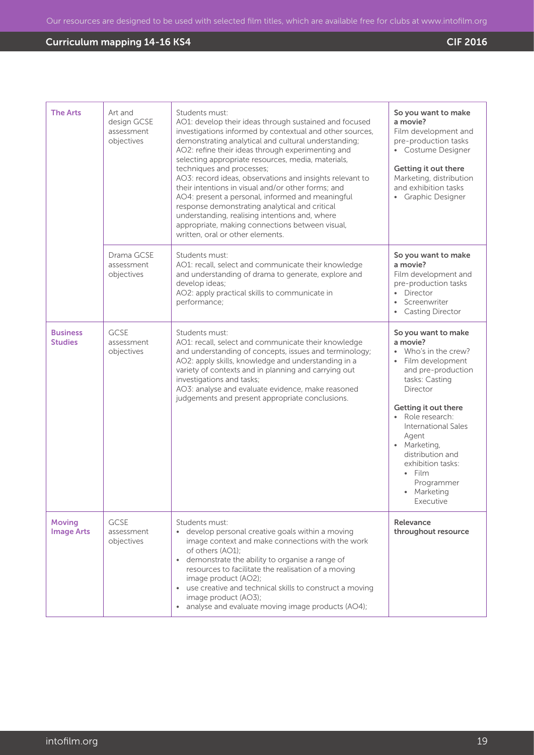| <b>The Arts</b>                    | Art and<br>design GCSE<br>assessment<br>objectives | Students must:<br>AO1: develop their ideas through sustained and focused<br>investigations informed by contextual and other sources,<br>demonstrating analytical and cultural understanding;<br>AO2: refine their ideas through experimenting and<br>selecting appropriate resources, media, materials,<br>techniques and processes;<br>AO3: record ideas, observations and insights relevant to<br>their intentions in visual and/or other forms; and<br>AO4: present a personal, informed and meaningful<br>response demonstrating analytical and critical<br>understanding, realising intentions and, where<br>appropriate, making connections between visual,<br>written, oral or other elements. | So you want to make<br>a movie?<br>Film development and<br>pre-production tasks<br>• Costume Designer<br>Getting it out there<br>Marketing, distribution<br>and exhibition tasks<br>• Graphic Designer                                                                                                                                  |
|------------------------------------|----------------------------------------------------|-------------------------------------------------------------------------------------------------------------------------------------------------------------------------------------------------------------------------------------------------------------------------------------------------------------------------------------------------------------------------------------------------------------------------------------------------------------------------------------------------------------------------------------------------------------------------------------------------------------------------------------------------------------------------------------------------------|-----------------------------------------------------------------------------------------------------------------------------------------------------------------------------------------------------------------------------------------------------------------------------------------------------------------------------------------|
|                                    | Drama GCSE<br>assessment<br>objectives             | Students must:<br>AO1: recall, select and communicate their knowledge<br>and understanding of drama to generate, explore and<br>develop ideas;<br>AO2: apply practical skills to communicate in<br>performance;                                                                                                                                                                                                                                                                                                                                                                                                                                                                                       | So you want to make<br>a movie?<br>Film development and<br>pre-production tasks<br>Director<br>$\bullet$<br>Screenwriter<br>$\bullet$<br><b>Casting Director</b>                                                                                                                                                                        |
| <b>Business</b><br><b>Studies</b>  | <b>GCSE</b><br>assessment<br>objectives            | Students must:<br>AO1: recall, select and communicate their knowledge<br>and understanding of concepts, issues and terminology;<br>AO2: apply skills, knowledge and understanding in a<br>variety of contexts and in planning and carrying out<br>investigations and tasks;<br>AO3: analyse and evaluate evidence, make reasoned<br>judgements and present appropriate conclusions.                                                                                                                                                                                                                                                                                                                   | So you want to make<br>a movie?<br>• Who's in the crew?<br>Film development<br>and pre-production<br>tasks: Casting<br>Director<br>Getting it out there<br>· Role research:<br><b>International Sales</b><br>Agent<br>• Marketing,<br>distribution and<br>exhibition tasks:<br>$\bullet$ Film<br>Programmer<br>• Marketing<br>Executive |
| <b>Moving</b><br><b>Image Arts</b> | <b>GCSE</b><br>assessment<br>objectives            | Students must:<br>• develop personal creative goals within a moving<br>image context and make connections with the work<br>of others (AO1):<br>• demonstrate the ability to organise a range of<br>resources to facilitate the realisation of a moving<br>image product (AO2);<br>use creative and technical skills to construct a moving<br>$\bullet$<br>image product (AO3);<br>• analyse and evaluate moving image products (AO4);                                                                                                                                                                                                                                                                 | Relevance<br>throughout resource                                                                                                                                                                                                                                                                                                        |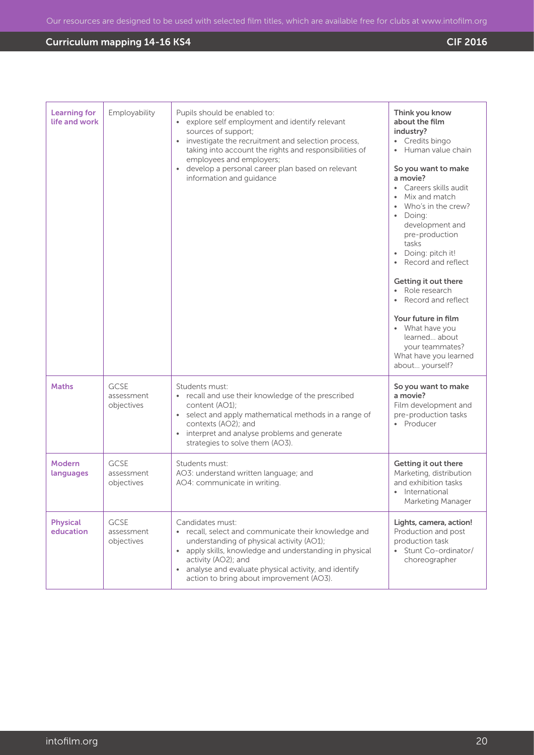| <b>Learning for</b><br>life and work | Employability                           | Pupils should be enabled to:<br>explore self employment and identify relevant<br>sources of support;<br>• investigate the recruitment and selection process,<br>taking into account the rights and responsibilities of<br>employees and employers;<br>develop a personal career plan based on relevant<br>$\bullet$<br>information and guidance | Think you know<br>about the film<br>industry?<br>• Credits bingo<br>Human value chain<br>So you want to make<br>a movie?<br>Careers skills audit<br>Mix and match<br>Who's in the crew?<br>• Doing:<br>development and<br>pre-production<br>tasks<br>Doing: pitch it!<br>Record and reflect<br>Getting it out there<br>• Role research<br>Record and reflect<br>Your future in film<br>• What have you<br>learned about<br>your teammates?<br>What have you learned<br>about yourself? |
|--------------------------------------|-----------------------------------------|-------------------------------------------------------------------------------------------------------------------------------------------------------------------------------------------------------------------------------------------------------------------------------------------------------------------------------------------------|----------------------------------------------------------------------------------------------------------------------------------------------------------------------------------------------------------------------------------------------------------------------------------------------------------------------------------------------------------------------------------------------------------------------------------------------------------------------------------------|
| <b>Maths</b>                         | GCSE<br>assessment<br>objectives        | Students must:<br>recall and use their knowledge of the prescribed<br>content (AO1);<br>• select and apply mathematical methods in a range of<br>contexts (AO2); and<br>interpret and analyse problems and generate<br>$\bullet$<br>strategies to solve them (AO3).                                                                             | So you want to make<br>a movie?<br>Film development and<br>pre-production tasks<br>• Producer                                                                                                                                                                                                                                                                                                                                                                                          |
| <b>Modern</b><br>languages           | <b>GCSE</b><br>assessment<br>objectives | Students must:<br>AO3: understand written language; and<br>AO4: communicate in writing.                                                                                                                                                                                                                                                         | Getting it out there<br>Marketing, distribution<br>and exhibition tasks<br>• International<br>Marketing Manager                                                                                                                                                                                                                                                                                                                                                                        |
| <b>Physical</b><br>education         | <b>GCSE</b><br>assessment<br>objectives | Candidates must:<br>recall, select and communicate their knowledge and<br>understanding of physical activity (AO1);<br>apply skills, knowledge and understanding in physical<br>$\bullet$<br>activity (AO2); and<br>analyse and evaluate physical activity, and identify<br>$\bullet$<br>action to bring about improvement (AO3).               | Lights, camera, action!<br>Production and post<br>production task<br>• Stunt Co-ordinator/<br>choreographer                                                                                                                                                                                                                                                                                                                                                                            |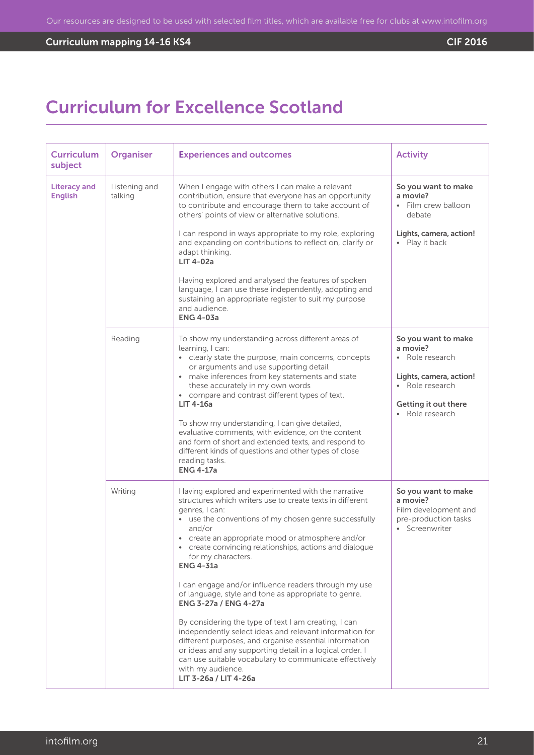# **Curriculum mapping 14-16 KS4** Curriculum mapping 14-16 KS4

# Curriculum for Excellence Scotland

| <b>Curriculum</b><br>subject          | <b>Organiser</b>         | <b>Experiences and outcomes</b>                                                                                                                                                                                                                                                                                                                                                                                                                                                                                                                                                                                                                                                                                                                                                                                                                                  | <b>Activity</b>                                                                                                                           |
|---------------------------------------|--------------------------|------------------------------------------------------------------------------------------------------------------------------------------------------------------------------------------------------------------------------------------------------------------------------------------------------------------------------------------------------------------------------------------------------------------------------------------------------------------------------------------------------------------------------------------------------------------------------------------------------------------------------------------------------------------------------------------------------------------------------------------------------------------------------------------------------------------------------------------------------------------|-------------------------------------------------------------------------------------------------------------------------------------------|
| <b>Literacy and</b><br><b>English</b> | Listening and<br>talking | When I engage with others I can make a relevant<br>contribution, ensure that everyone has an opportunity<br>to contribute and encourage them to take account of<br>others' points of view or alternative solutions.<br>I can respond in ways appropriate to my role, exploring<br>and expanding on contributions to reflect on, clarify or<br>adapt thinking.<br>LIT 4-02a                                                                                                                                                                                                                                                                                                                                                                                                                                                                                       | So you want to make<br>a movie?<br>• Film crew balloon<br>debate<br>Lights, camera, action!<br>• Play it back                             |
|                                       |                          | Having explored and analysed the features of spoken<br>language, I can use these independently, adopting and<br>sustaining an appropriate register to suit my purpose<br>and audience.<br><b>ENG 4-03a</b>                                                                                                                                                                                                                                                                                                                                                                                                                                                                                                                                                                                                                                                       |                                                                                                                                           |
|                                       | Reading                  | To show my understanding across different areas of<br>learning, I can:<br>• clearly state the purpose, main concerns, concepts<br>or arguments and use supporting detail<br>make inferences from key statements and state<br>$\bullet$<br>these accurately in my own words<br>• compare and contrast different types of text.<br><b>LIT 4-16a</b><br>To show my understanding, I can give detailed,<br>evaluative comments, with evidence, on the content<br>and form of short and extended texts, and respond to<br>different kinds of questions and other types of close<br>reading tasks.<br><b>ENG 4-17a</b>                                                                                                                                                                                                                                                 | So you want to make<br>a movie?<br>Role research<br>Lights, camera, action!<br>• Role research<br>Getting it out there<br>• Role research |
|                                       | Writing                  | Having explored and experimented with the narrative<br>structures which writers use to create texts in different<br>genres, I can:<br>• use the conventions of my chosen genre successfully<br>and/or<br>• create an appropriate mood or atmosphere and/or<br>• create convincing relationships, actions and dialogue<br>for my characters.<br><b>ENG 4-31a</b><br>I can engage and/or influence readers through my use<br>of language, style and tone as appropriate to genre.<br><b>ENG 3-27a / ENG 4-27a</b><br>By considering the type of text I am creating, I can<br>independently select ideas and relevant information for<br>different purposes, and organise essential information<br>or ideas and any supporting detail in a logical order. I<br>can use suitable vocabulary to communicate effectively<br>with my audience.<br>LIT 3-26a / LIT 4-26a | So you want to make<br>a movie?<br>Film development and<br>pre-production tasks<br>• Screenwriter                                         |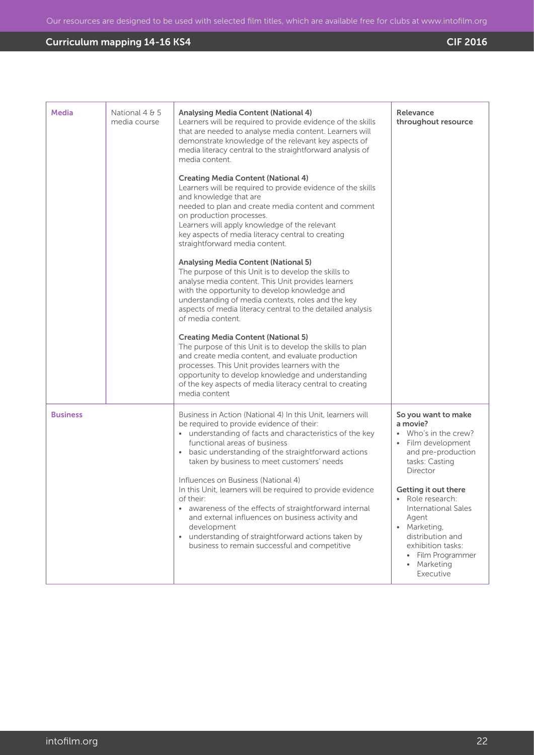| <b>Media</b>    | National 4 & 5<br>media course | Analysing Media Content (National 4)<br>Learners will be required to provide evidence of the skills<br>that are needed to analyse media content. Learners will<br>demonstrate knowledge of the relevant key aspects of<br>media literacy central to the straightforward analysis of<br>media content.<br><b>Creating Media Content (National 4)</b><br>Learners will be required to provide evidence of the skills<br>and knowledge that are<br>needed to plan and create media content and comment<br>on production processes.<br>Learners will apply knowledge of the relevant<br>key aspects of media literacy central to creating<br>straightforward media content.<br><b>Analysing Media Content (National 5)</b><br>The purpose of this Unit is to develop the skills to<br>analyse media content. This Unit provides learners<br>with the opportunity to develop knowledge and<br>understanding of media contexts, roles and the key<br>aspects of media literacy central to the detailed analysis<br>of media content<br><b>Creating Media Content (National 5)</b><br>The purpose of this Unit is to develop the skills to plan<br>and create media content, and evaluate production<br>processes. This Unit provides learners with the<br>opportunity to develop knowledge and understanding<br>of the key aspects of media literacy central to creating<br>media content | Relevance<br>throughout resource                                                                                                                                                                                                                                                                                                  |
|-----------------|--------------------------------|-------------------------------------------------------------------------------------------------------------------------------------------------------------------------------------------------------------------------------------------------------------------------------------------------------------------------------------------------------------------------------------------------------------------------------------------------------------------------------------------------------------------------------------------------------------------------------------------------------------------------------------------------------------------------------------------------------------------------------------------------------------------------------------------------------------------------------------------------------------------------------------------------------------------------------------------------------------------------------------------------------------------------------------------------------------------------------------------------------------------------------------------------------------------------------------------------------------------------------------------------------------------------------------------------------------------------------------------------------------------------------------|-----------------------------------------------------------------------------------------------------------------------------------------------------------------------------------------------------------------------------------------------------------------------------------------------------------------------------------|
| <b>Business</b> |                                | Business in Action (National 4) In this Unit, learners will<br>be required to provide evidence of their:<br>• understanding of facts and characteristics of the key<br>functional areas of business<br>basic understanding of the straightforward actions<br>$\bullet$<br>taken by business to meet customers' needs<br>Influences on Business (National 4)<br>In this Unit, learners will be required to provide evidence<br>of their:<br>awareness of the effects of straightforward internal<br>and external influences on business activity and<br>development<br>understanding of straightforward actions taken by<br>$\bullet$<br>business to remain successful and competitive                                                                                                                                                                                                                                                                                                                                                                                                                                                                                                                                                                                                                                                                                               | So you want to make<br>a movie?<br>Who's in the crew?<br>Film development<br>and pre-production<br>tasks: Casting<br>Director<br>Getting it out there<br>Role research:<br>$\bullet$<br><b>International Sales</b><br>Agent<br>Marketing,<br>distribution and<br>exhibition tasks:<br>• Film Programmer<br>Marketing<br>Executive |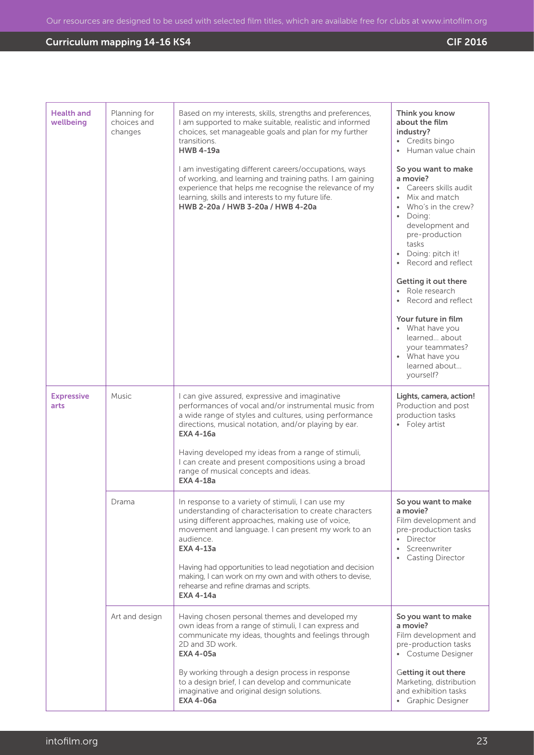| <b>Health and</b><br>wellbeing | Planning for<br>choices and<br>changes | Based on my interests, skills, strengths and preferences,<br>I am supported to make suitable, realistic and informed<br>choices, set manageable goals and plan for my further<br>transitions.<br><b>HWB 4-19a</b><br>I am investigating different careers/occupations, ways<br>of working, and learning and training paths. I am gaining<br>experience that helps me recognise the relevance of my<br>learning, skills and interests to my future life.<br>HWB 2-20a / HWB 3-20a / HWB 4-20a | Think you know<br>about the film<br>industry?<br>• Credits bingo<br>• Human value chain<br>So you want to make<br>a movie?<br>• Careers skills audit<br>• Mix and match<br>• Who's in the crew?<br>· Doing:<br>development and<br>pre-production<br>tasks<br>• Doing: pitch it!<br>Record and reflect<br>Getting it out there<br>• Role research<br>Record and reflect<br>Your future in film<br>• What have you<br>learned about<br>your teammates?<br>• What have you<br>learned about<br>yourself? |
|--------------------------------|----------------------------------------|----------------------------------------------------------------------------------------------------------------------------------------------------------------------------------------------------------------------------------------------------------------------------------------------------------------------------------------------------------------------------------------------------------------------------------------------------------------------------------------------|-------------------------------------------------------------------------------------------------------------------------------------------------------------------------------------------------------------------------------------------------------------------------------------------------------------------------------------------------------------------------------------------------------------------------------------------------------------------------------------------------------|
| <b>Expressive</b><br>arts      | Music                                  | I can give assured, expressive and imaginative<br>performances of vocal and/or instrumental music from<br>a wide range of styles and cultures, using performance<br>directions, musical notation, and/or playing by ear.<br>EXA 4-16a<br>Having developed my ideas from a range of stimuli,<br>I can create and present compositions using a broad<br>range of musical concepts and ideas.<br><b>EXA 4-18a</b>                                                                               | Lights, camera, action!<br>Production and post<br>production tasks<br>• Foley artist                                                                                                                                                                                                                                                                                                                                                                                                                  |
|                                | Drama                                  | In response to a variety of stimuli, I can use my<br>understanding of characterisation to create characters<br>using different approaches, making use of voice,<br>movement and language. I can present my work to an<br>audience.<br><b>EXA 4-13a</b><br>Having had opportunities to lead negotiation and decision<br>making, I can work on my own and with others to devise,<br>rehearse and refine dramas and scripts.<br><b>EXA 4-14a</b>                                                | So you want to make<br>a movie?<br>Film development and<br>pre-production tasks<br>• Director<br>Screenwriter<br><b>Casting Director</b>                                                                                                                                                                                                                                                                                                                                                              |
|                                | Art and design                         | Having chosen personal themes and developed my<br>own ideas from a range of stimuli, I can express and<br>communicate my ideas, thoughts and feelings through<br>2D and 3D work.<br><b>EXA 4-05a</b><br>By working through a design process in response<br>to a design brief, I can develop and communicate<br>imaginative and original design solutions.<br><b>EXA 4-06a</b>                                                                                                                | So you want to make<br>a movie?<br>Film development and<br>pre-production tasks<br>• Costume Designer<br>Getting it out there<br>Marketing, distribution<br>and exhibition tasks<br>• Graphic Designer                                                                                                                                                                                                                                                                                                |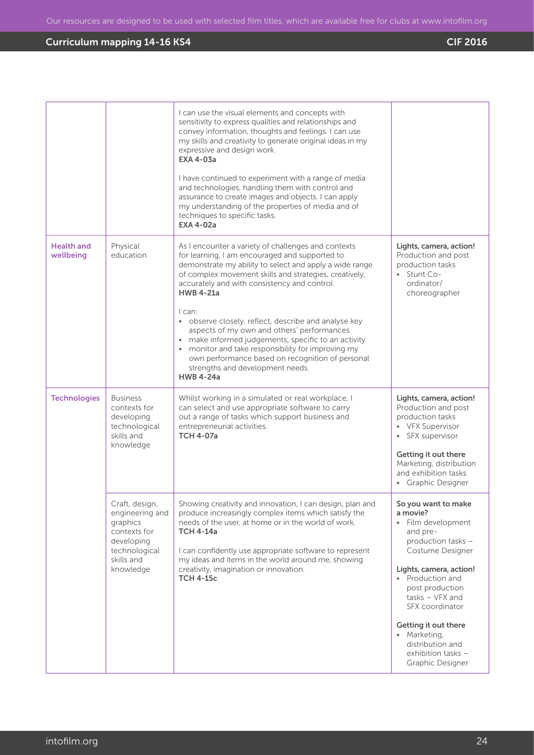|                                |                                                                                                                         | I can use the visual elements and concepts with<br>sensitivity to express qualities and relationships and<br>convey information, thoughts and feelings. I can use<br>my skills and creativity to generate original ideas in my<br>expressive and design work.<br><b>EXA 4-03a</b>                                                                                                                                                                                                                                                                                                                                 |                                                                                                                                                                       |
|--------------------------------|-------------------------------------------------------------------------------------------------------------------------|-------------------------------------------------------------------------------------------------------------------------------------------------------------------------------------------------------------------------------------------------------------------------------------------------------------------------------------------------------------------------------------------------------------------------------------------------------------------------------------------------------------------------------------------------------------------------------------------------------------------|-----------------------------------------------------------------------------------------------------------------------------------------------------------------------|
|                                |                                                                                                                         | I have continued to experiment with a range of media<br>and technologies, handling them with control and<br>assurance to create images and objects. I can apply<br>my understanding of the properties of media and of<br>techniques to specific tasks.<br><b>EXA 4-02a</b>                                                                                                                                                                                                                                                                                                                                        |                                                                                                                                                                       |
| <b>Health and</b><br>wellbeing | Physical<br>education                                                                                                   | As I encounter a variety of challenges and contexts<br>for learning, I am encouraged and supported to<br>demonstrate my ability to select and apply a wide range<br>of complex movement skills and strategies, creatively,<br>accurately and with consistency and control.<br><b>HWB 4-21a</b><br>I can:<br>• observe closely, reflect, describe and analyse key<br>aspects of my own and others' performances<br>• make informed judgements, specific to an activity<br>monitor and take responsibility for improving my<br>own performance based on recognition of personal<br>strengths and development needs. | Lights, camera, action!<br>Production and post<br>production tasks<br>• Stunt Co-<br>ordinator/<br>choreographer                                                      |
|                                |                                                                                                                         | <b>HWB 4-24a</b>                                                                                                                                                                                                                                                                                                                                                                                                                                                                                                                                                                                                  |                                                                                                                                                                       |
| <b>Technologies</b>            | <b>Business</b><br>contexts for<br>developing<br>technological<br>skills and<br>knowledge                               | Whilst working in a simulated or real workplace, I<br>can select and use appropriate software to carry<br>out a range of tasks which support business and<br>entrepreneurial activities.<br><b>TCH 4-07a</b>                                                                                                                                                                                                                                                                                                                                                                                                      | Lights, camera, action!<br>Production and post<br>production tasks<br>• VFX Supervisor<br>• SFX supervisor                                                            |
|                                |                                                                                                                         |                                                                                                                                                                                                                                                                                                                                                                                                                                                                                                                                                                                                                   | Getting it out there<br>Marketing, distribution<br>and exhibition tasks<br>• Graphic Designer                                                                         |
|                                | Craft, design,<br>engineering and<br>graphics<br>contexts for<br>developing<br>technological<br>skills and<br>knowledge | Showing creativity and innovation, I can design, plan and<br>produce increasingly complex items which satisfy the<br>needs of the user, at home or in the world of work.<br><b>TCH 4-14a</b><br>I can confidently use appropriate software to represent<br>my ideas and items in the world around me, showing<br>creativity, imagination or innovation.<br><b>TCH 4-15c</b>                                                                                                                                                                                                                                       | So you want to make<br>a movie?<br>Film development<br>$\bullet$<br>and pre-<br>production tasks -<br>Costume Designer<br>Lights, camera, action!<br>• Production and |
|                                |                                                                                                                         |                                                                                                                                                                                                                                                                                                                                                                                                                                                                                                                                                                                                                   | post production<br>$tasks - VFX$ and<br>SFX coordinator                                                                                                               |
|                                |                                                                                                                         |                                                                                                                                                                                                                                                                                                                                                                                                                                                                                                                                                                                                                   | Getting it out there<br>• Marketing,<br>distribution and<br>exhibition tasks -<br>Graphic Designer                                                                    |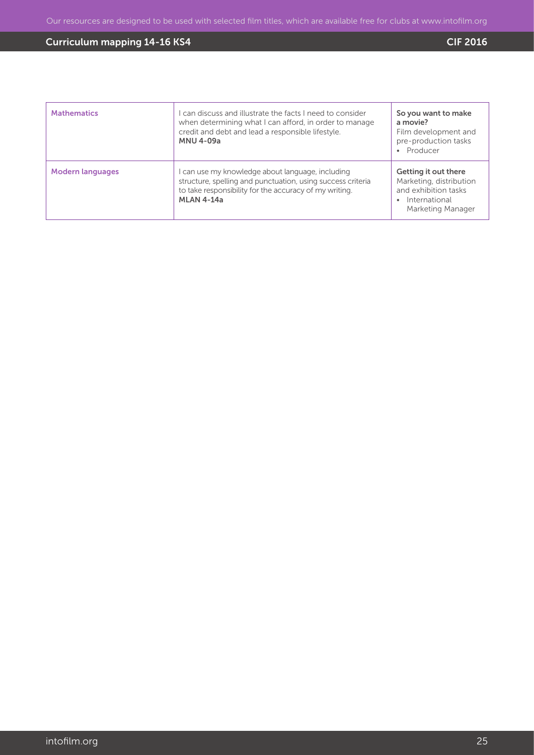| <b>Mathematics</b>      | can discuss and illustrate the facts I need to consider<br>when determining what I can afford, in order to manage<br>credit and debt and lead a responsible lifestyle.<br><b>MNU 4-09a</b>   | So you want to make<br>a movie?<br>Film development and<br>pre-production tasks<br>Producer                   |
|-------------------------|----------------------------------------------------------------------------------------------------------------------------------------------------------------------------------------------|---------------------------------------------------------------------------------------------------------------|
| <b>Modern languages</b> | can use my knowledge about language, including<br>structure, spelling and punctuation, using success criteria<br>to take responsibility for the accuracy of my writing.<br><b>MLAN 4-14a</b> | Getting it out there<br>Marketing, distribution<br>and exhibition tasks<br>International<br>Marketing Manager |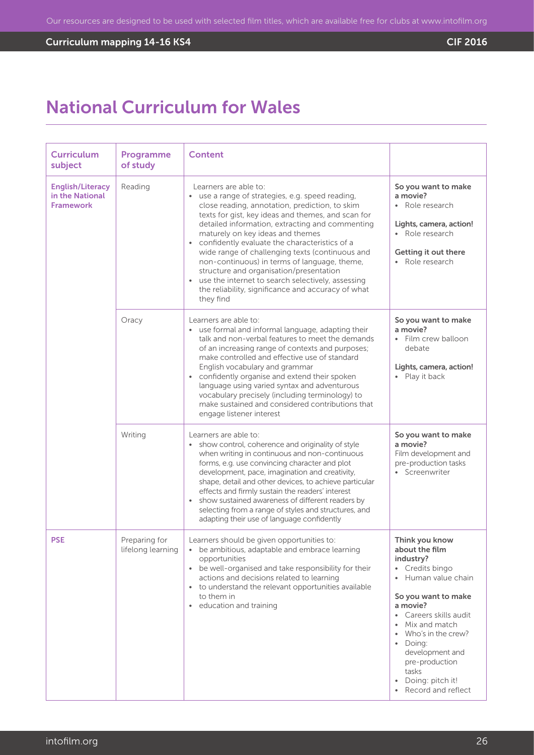# **Curriculum mapping 14-16 KS4** Curriculum mapping 14-16 KS4

# National Curriculum for Wales

| <b>Curriculum</b><br>subject                                   | Programme<br>of study              | <b>Content</b>                                                                                                                                                                                                                                                                                                                                                                                                                                                                                                                                                                                      |                                                                                                                                                                                                                                                                                                   |
|----------------------------------------------------------------|------------------------------------|-----------------------------------------------------------------------------------------------------------------------------------------------------------------------------------------------------------------------------------------------------------------------------------------------------------------------------------------------------------------------------------------------------------------------------------------------------------------------------------------------------------------------------------------------------------------------------------------------------|---------------------------------------------------------------------------------------------------------------------------------------------------------------------------------------------------------------------------------------------------------------------------------------------------|
| <b>English/Literacy</b><br>in the National<br><b>Framework</b> | Reading                            | Learners are able to:<br>• use a range of strategies, e.g. speed reading,<br>close reading, annotation, prediction, to skim<br>texts for gist, key ideas and themes, and scan for<br>detailed information, extracting and commenting<br>maturely on key ideas and themes<br>• confidently evaluate the characteristics of a<br>wide range of challenging texts (continuous and<br>non-continuous) in terms of language, theme,<br>structure and organisation/presentation<br>• use the internet to search selectively, assessing<br>the reliability, significance and accuracy of what<br>they find | So you want to make<br>a movie?<br>• Role research<br>Lights, camera, action!<br>• Role research<br>Getting it out there<br>• Role research                                                                                                                                                       |
|                                                                | Oracy                              | Learners are able to:<br>• use formal and informal language, adapting their<br>talk and non-verbal features to meet the demands<br>of an increasing range of contexts and purposes;<br>make controlled and effective use of standard<br>English vocabulary and grammar<br>confidently organise and extend their spoken<br>language using varied syntax and adventurous<br>vocabulary precisely (including terminology) to<br>make sustained and considered contributions that<br>engage listener interest                                                                                           | So you want to make<br>a movie?<br>• Film crew balloon<br>debate<br>Lights, camera, action!<br>Play it back                                                                                                                                                                                       |
|                                                                | Writing                            | Learners are able to:<br>show control, coherence and originality of style<br>when writing in continuous and non-continuous<br>forms, e.g. use convincing character and plot<br>development, pace, imagination and creativity,<br>shape, detail and other devices, to achieve particular<br>effects and firmly sustain the readers' interest<br>show sustained awareness of different readers by<br>selecting from a range of styles and structures, and<br>adapting their use of language confidently                                                                                               | So you want to make<br>a movie?<br>Film development and<br>pre-production tasks<br>• Screenwriter                                                                                                                                                                                                 |
| <b>PSE</b>                                                     | Preparing for<br>lifelong learning | Learners should be given opportunities to:<br>• be ambitious, adaptable and embrace learning<br>opportunities<br>• be well-organised and take responsibility for their<br>actions and decisions related to learning<br>• to understand the relevant opportunities available<br>to them in<br>• education and training                                                                                                                                                                                                                                                                               | Think you know<br>about the film<br>industry?<br>• Credits bingo<br>• Human value chain<br>So you want to make<br>a movie?<br>• Careers skills audit<br>• Mix and match<br>Who's in the crew?<br>Doing:<br>development and<br>pre-production<br>tasks<br>Doing: pitch it!<br>• Record and reflect |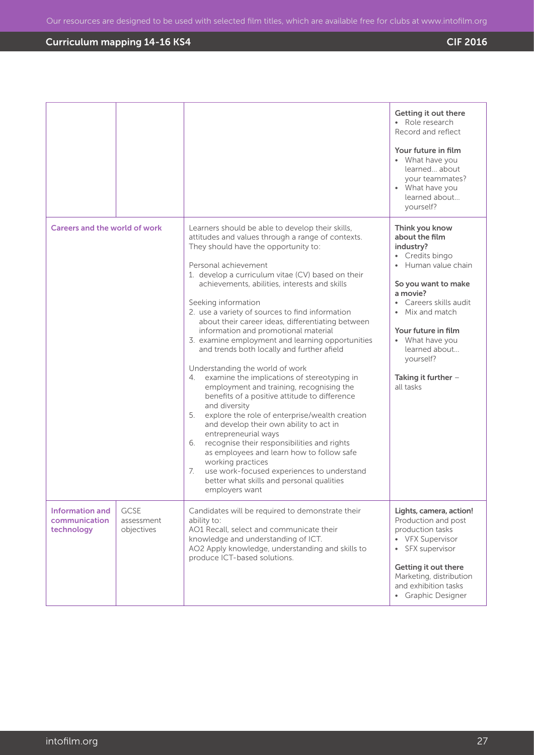|                                                |                                         |                                                                                                                                                                                                                                                                                                                                                                                                                                                                                                                                                                                                                                                                                                                                                                                                                                                                                                                                                                                                                                                                                                                              | Getting it out there<br>• Role research<br>Record and reflect<br>Your future in film<br>• What have you<br>learned about<br>your teammates?<br>• What have you<br>learned about<br>yourself?                                                                                                 |
|------------------------------------------------|-----------------------------------------|------------------------------------------------------------------------------------------------------------------------------------------------------------------------------------------------------------------------------------------------------------------------------------------------------------------------------------------------------------------------------------------------------------------------------------------------------------------------------------------------------------------------------------------------------------------------------------------------------------------------------------------------------------------------------------------------------------------------------------------------------------------------------------------------------------------------------------------------------------------------------------------------------------------------------------------------------------------------------------------------------------------------------------------------------------------------------------------------------------------------------|----------------------------------------------------------------------------------------------------------------------------------------------------------------------------------------------------------------------------------------------------------------------------------------------|
| Careers and the world of work                  |                                         | Learners should be able to develop their skills,<br>attitudes and values through a range of contexts.<br>They should have the opportunity to:<br>Personal achievement<br>1. develop a curriculum vitae (CV) based on their<br>achievements, abilities, interests and skills<br>Seeking information<br>2. use a variety of sources to find information<br>about their career ideas, differentiating between<br>information and promotional material<br>3. examine employment and learning opportunities<br>and trends both locally and further afield<br>Understanding the world of work<br>examine the implications of stereotyping in<br>4.<br>employment and training, recognising the<br>benefits of a positive attitude to difference<br>and diversity<br>5.<br>explore the role of enterprise/wealth creation<br>and develop their own ability to act in<br>entrepreneurial ways<br>6. recognise their responsibilities and rights<br>as employees and learn how to follow safe<br>working practices<br>use work-focused experiences to understand<br>7.<br>better what skills and personal qualities<br>employers want | Think you know<br>about the film<br>industry?<br>Credits bingo<br>Human value chain<br>So you want to make<br>a movie?<br>• Careers skills audit<br>Mix and match<br>$\bullet$<br>Your future in film<br>• What have you<br>learned about<br>yourself?<br>Taking it further $-$<br>all tasks |
| Information and<br>communication<br>technology | <b>GCSE</b><br>assessment<br>objectives | Candidates will be required to demonstrate their<br>ability to:<br>AO1 Recall, select and communicate their<br>knowledge and understanding of ICT.<br>AO2 Apply knowledge, understanding and skills to<br>produce ICT-based solutions.                                                                                                                                                                                                                                                                                                                                                                                                                                                                                                                                                                                                                                                                                                                                                                                                                                                                                       | Lights, camera, action!<br>Production and post<br>production tasks<br>• VFX Supervisor<br>SFX supervisor<br>$\bullet$<br>Getting it out there<br>Marketing, distribution<br>and exhibition tasks<br>• Graphic Designer                                                                       |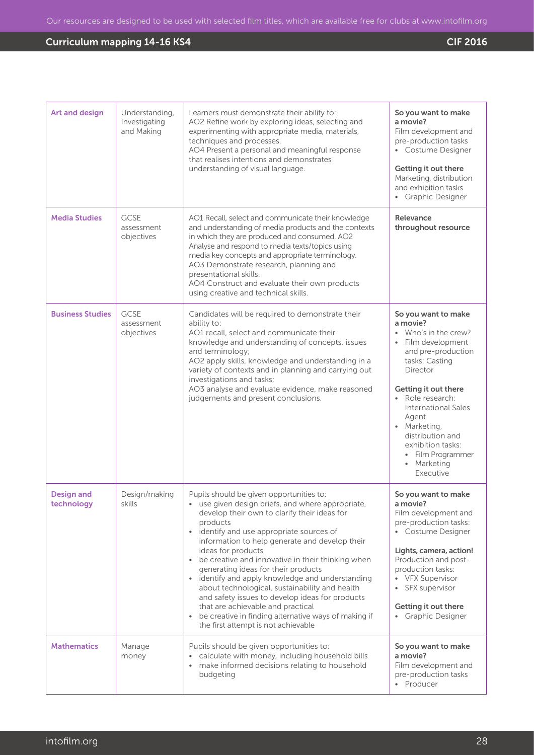| <b>Art and design</b>           | Understanding,<br>Investigating<br>and Making | Learners must demonstrate their ability to:<br>AO2 Refine work by exploring ideas, selecting and<br>experimenting with appropriate media, materials,<br>techniques and processes.<br>AO4 Present a personal and meaningful response<br>that realises intentions and demonstrates<br>understanding of visual language.                                                                                                                                                                                                                                                                                                                                                                             | So you want to make<br>a movie?<br>Film development and<br>pre-production tasks<br>• Costume Designer<br>Getting it out there<br>Marketing, distribution<br>and exhibition tasks<br>• Graphic Designer                                                                                                                                      |
|---------------------------------|-----------------------------------------------|---------------------------------------------------------------------------------------------------------------------------------------------------------------------------------------------------------------------------------------------------------------------------------------------------------------------------------------------------------------------------------------------------------------------------------------------------------------------------------------------------------------------------------------------------------------------------------------------------------------------------------------------------------------------------------------------------|---------------------------------------------------------------------------------------------------------------------------------------------------------------------------------------------------------------------------------------------------------------------------------------------------------------------------------------------|
| <b>Media Studies</b>            | <b>GCSE</b><br>assessment<br>objectives       | AO1 Recall, select and communicate their knowledge<br>and understanding of media products and the contexts<br>in which they are produced and consumed. AO2<br>Analyse and respond to media texts/topics using<br>media key concepts and appropriate terminology.<br>AO3 Demonstrate research, planning and<br>presentational skills.<br>AO4 Construct and evaluate their own products<br>using creative and technical skills.                                                                                                                                                                                                                                                                     | Relevance<br>throughout resource                                                                                                                                                                                                                                                                                                            |
| <b>Business Studies</b>         | <b>GCSE</b><br>assessment<br>objectives       | Candidates will be required to demonstrate their<br>ability to:<br>AO1 recall, select and communicate their<br>knowledge and understanding of concepts, issues<br>and terminology;<br>AO2 apply skills, knowledge and understanding in a<br>variety of contexts and in planning and carrying out<br>investigations and tasks;<br>AO3 analyse and evaluate evidence, make reasoned<br>judgements and present conclusions.                                                                                                                                                                                                                                                                          | So you want to make<br>a movie?<br>Who's in the crew?<br>$\bullet$<br>Film development<br>$\bullet$<br>and pre-production<br>tasks: Casting<br>Director<br>Getting it out there<br>Role research:<br>International Sales<br>Agent<br>· Marketing,<br>distribution and<br>exhibition tasks:<br>• Film Programmer<br>• Marketing<br>Executive |
| <b>Design and</b><br>technology | Design/making<br>skills                       | Pupils should be given opportunities to:<br>• use given design briefs, and where appropriate,<br>develop their own to clarify their ideas for<br>products<br>identify and use appropriate sources of<br>$\bullet$<br>information to help generate and develop their<br>ideas for products<br>• be creative and innovative in their thinking when<br>generating ideas for their products<br>• identify and apply knowledge and understanding<br>about technological, sustainability and health<br>and safety issues to develop ideas for products<br>that are achievable and practical<br>be creative in finding alternative ways of making if<br>$\bullet$<br>the first attempt is not achievable | So you want to make<br>a movie?<br>Film development and<br>pre-production tasks:<br>• Costume Designer<br>Lights, camera, action!<br>Production and post-<br>production tasks:<br>• VFX Supervisor<br>SFX supervisor<br>$\bullet$<br>Getting it out there<br>• Graphic Designer                                                             |
| <b>Mathematics</b>              | Manage<br>money                               | Pupils should be given opportunities to:<br>• calculate with money, including household bills<br>make informed decisions relating to household<br>budgeting                                                                                                                                                                                                                                                                                                                                                                                                                                                                                                                                       | So you want to make<br>a movie?<br>Film development and<br>pre-production tasks<br>• Producer                                                                                                                                                                                                                                               |